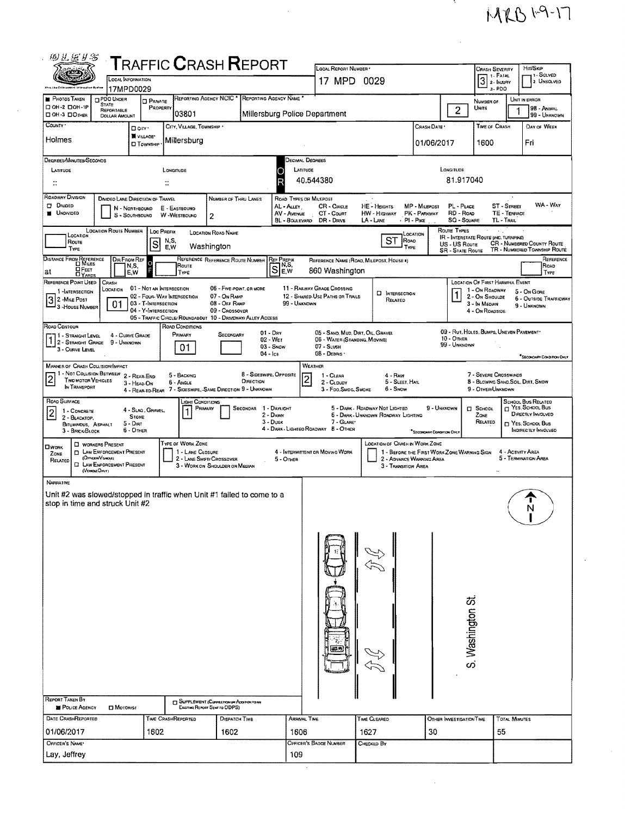## $MKBH9-17$

-5.

 $\frac{1}{2}$ 

 $\bar{z}$ 

| <b>CRASH SEVERITY</b><br>PS 31<br>1 - Solved<br>1. FATAL<br>$3$ 2- INJURY<br>LOCAL INFORMATION<br>17 MPD 0029<br>2 UNSOLVED<br>3-PDO<br>17MPD0029<br>REPORTING AGENCY NCIC <sup>*</sup><br>REPORTING AGENCY NAME<br>PHOTOS TAKEN<br><b>PDO UNDER</b><br>UNIT IN ERROR<br><b>D</b> PRIVATE<br>NUMBER OF<br><b>STATE</b><br>□ ОН-2 □ ОН-1Р<br>PROPERTY<br>98 - ANIMAL<br>Units<br>$\overline{2}$<br>1<br>REPORTABLE<br>03801<br>Millersburg Police Department<br>DOH-3 DOTHER<br>99 - UNKNOWN<br><b>DOLLAR AMOUNT</b><br>COUNTY ·<br>CITY, VILLAGE, TOWNSHIP .<br>CRASH DATE<br><b>TIME OF CRASH</b><br>DAY OF WEEK<br>D city .<br>W VILLAGE*<br>Holmes<br>Millersburg<br>Fri<br>1600<br>01/06/2017<br><b>O</b> TOWNSHIP<br>DECIMAL DEGREES<br>DEGREES/MINUTES/SECONDS<br>LATITUDE<br>LONGITUDE<br>LATITUDE<br>LONGITUDE<br>c<br>81.917040<br>40.544380<br>R<br>÷.<br>ROADWAY DIVISION<br>DIVIDED LANE DIRECTION OF TRAVEL<br>ROAD TYPES OR MILEPOST<br>NUMBER OF THRU LANES<br>WA - Way<br><b>DIVIDED</b><br><b>HE-HEIGHTS</b><br>MP - MILEPOST<br>ST - STREET<br>AL - ALLEY<br>CR - CIRCLE<br>PL - PLACE<br>E - EASTBOUND<br>N - NORTHBOUND<br><b>UNDIVIDED</b><br>CT - COURT<br><b>HW</b> - HIGHWAY<br>PK - PARKWAY<br>RD - Road<br>TE - TERRACE<br>AV - AVENUE<br>S - SOUTHBOUND<br>W-WESTBOUND<br>2<br><b>SQ - SQUARE</b><br>BL - BOULEVARD<br>DR - DRNE<br>$LA - LANE$<br>$PI - P_{IIRE}$<br>TL - TRAIL<br>Route Types<br>LOCATION ROUTE NUMBER   LOC PREFIX<br>ANG.<br><b>LOCATION ROAD NAME</b><br>LOCATION<br>LOCATION<br>IR - INTERSTATE ROUTE (INC. TURNPINE)<br>$S\mathsf{T}$<br>Road<br>N.S.<br>Route<br>$\vert$ S<br><b>CR - NUMBERED COUNTY ROUTE</b><br>US - US Route<br>Washington<br>E.W<br>TYPE<br>TYPE<br>TR - NUMBERED TOWNSHIP ROUTE<br><b>SR - STATE ROUTE</b><br>DISTANCE FROM REFERENCE<br>REFERENCE REFERENCE ROUTE NUMBER<br><b>DIR FROM REF</b><br><b>REF PREFIX</b><br>REFERENCE<br>REFERENCE NAME (ROAD, MILEPOST, HOUSE 4)<br>$\Omega$<br>$\mathbb{S}^{\mathbb{N},\mathbb{S}}$<br>Roap<br>Route<br> N,S,<br>⊡ Гвет<br>F<br>860 Washington<br>at<br>E,W<br>TYPE<br>TYPE<br><b>OYABDS</b><br>REFERENCE POINT USED<br>CRASH<br>LOCATION OF FIRST HARMFUL EVENT<br>11 - RAILWAY GRADE CROSSING<br>01 - NOT AN INTERSECTION<br>06 - FIVE POINT, OR MORE<br>LOCATION<br>1 - On ROADWAY<br>1-INTERSECTION<br>5 - On Gone<br><b>D</b> INTERSECTION<br>02 - FOUR-WAY INTERSECTION<br>07 - On RAMP<br>12 - SHARED-USE PATHS OR TRAILS<br>2 - On Shoulde<br>6 - OUTSIDE TRAFFICWAY<br>3 2 - Mile Post<br>RELATED<br>03 - T-INTERSECTION<br>08 - OFF RAMP<br>99 - UNKNOWN<br>01<br>3 - In Median<br>9 - UNKNOWN<br>3 - House NUMBER<br>04 - Y-INTERSECTION<br>09 - Crossover<br>4 - On ROADSIDE<br>05 - TRAFFIC CIRCLE/ ROUNDABOUT 10 - DRIVEWAY/ ALLEY ACCESS<br>ROAD CONTOUR<br>ROAD CONDITIONS<br>09 - RUT, HOLES, BUMPS, UNEVEN PAVEMENT*<br>05 - SAND, MUD, DIRT, OIL, GRAVEL<br>$01 - \text{Dar}$<br>PRIMARY<br>4 - CURVE GRADE<br>SECONDARY<br>11 - STRAIGHT LEVEL<br>10 - OMER<br>02 - WET<br>06 - WATER (STANDING, MOVING)<br>1 2 - STRAIGHT GRADE 9 - UNKNOWN<br>99 - UNKNOWN<br>$03 -$ Snow<br>07 - SLUSH<br>01<br>3 - CURVE LEVEL<br>08 - DEBRIS ·<br>$04 -$ Ica<br>SECONDARY CONDITION ONLY<br>WEATHER<br><b>MANNER OF CRASH COLLISION/IMPACT</b><br>1 - Not Collision Between 2 - Rear-End<br>8 - SIDESWIPE, OPPOSITE<br>7 - SEVERE CROSSWINDS<br>5 - BACKING<br>1 - CLEAR<br>4 - RAIN<br>$\overline{2}$<br>$\overline{2}$<br>TWO MOTOR VEHICLES<br>DIRECTION<br>8 - BLOWING SAND, SOIL, DIRT, SNOW<br>5 - SLEET, HAIL<br>6 - Angle<br>$2 - C$ LOUDY<br>3 - HEAD-ON<br>IN TRANSPORT<br>7 - SIDESWIPE, SAME DIRECTION 9 - UNKNOWN<br>3 - Foo. SMDG, SMOKE<br>6 - SNOW<br>9 - OTHER/UNKNOWN<br>4 - REAR-TO-REAR<br>ROAD SURFACE<br><b>SCHOOL BUS RELATED</b><br>LIGHT CONDITIONS<br>CI YES. SCHOOL Bus<br>5 - DARK - ROADWAY NOT LIGHTED<br>9 - UNKNOWN<br>PRIMARY<br>SECONDAR 1 - DAYLIGHT<br><b>D</b> SCHOOL<br>4 - SLAG, GRAVEL,<br>$\mathbf{1}$<br>1 - CONCRETE<br>DIRECTLY INVOLVED<br>2 - DAWN<br>6 - DARK - UNKNOWN ROADWAY LIGHTING<br>ZONE<br><b>STONE</b><br>2 - BLACKTOP.<br>$3 - D$ usk<br>7 - GLARE<br>RELATED<br>T YES, SCHOOL BUS<br>$5 - D$ IRT<br>BITUMINOUS, ASPHALT<br>4 - DARK - LIGHTEO ROADWAY 8 - OTHER<br>INDIRECTLY INVOLVED<br>$6 -$ OTHER<br>3 - Вяск Вьоск<br><sup>*</sup> SECONDARY CONDITION ONLY<br>TYPE OF WORK ZONE<br><b>LOCATION OF CRASH IN WORK ZONE</b><br><b>NORKERS PRESENT</b><br>□work<br><b>D</b> LAW ENFORCEMENT PRESENT<br>1 - LANE CLOSURE<br>4 - INTERMITTENT OR MOVING WORK<br>1 - BEFORE THE FIRST WORK ZONE WARNING SIGN<br>4 - ACTIVITY AREA<br>Zone<br>(OFFICER/VEHICLE)<br>5 - TERMINATION AREA<br>2 - LANE SHIFT/ CROSSOVER<br>2 - ADVANCE WARNING AREA<br>5 - OTHER<br>RELATED<br><b>CI LAW ENFORCEMENT PRESENT</b><br>3 - WORK ON SHOULDER OR MEDIAN<br>3 - Transition Area<br>(VENGEOMY)<br>$\bullet$ $\bullet$<br><b>NARRATNE</b><br>Unit #2 was slowed/stopped in traffic when Unit #1 failed to come to a<br>stop in time and struck Unit #2<br>S. Washington St.<br>SUPPLEMENT (CORRECTION ON ADDITION TO AN<br>POLICE AGENCY<br><b>D</b> Motorist<br>Existing REPORT SENT TO ODPS)<br>DATE CRASHREPORTED<br>TIME CRASHREPORTED<br>ARRIVAL TIME<br>TIME CLEARED<br>TOTAL MINUTES<br><b>DISPATCH TIME</b><br>OTHER INVESTIGATION TIME<br>01/06/2017<br>1602<br>30<br>1602<br>1606<br>1627<br>55<br>OFFICER'S NAME<br>OFFICER'S BADGE NUMBER<br>Снескар Ву<br>109<br>Lay, Jeffrey | 的生活分布                                        |  |  |  |  |  |  |                     |  |  |  |  |  |          |
|---------------------------------------------------------------------------------------------------------------------------------------------------------------------------------------------------------------------------------------------------------------------------------------------------------------------------------------------------------------------------------------------------------------------------------------------------------------------------------------------------------------------------------------------------------------------------------------------------------------------------------------------------------------------------------------------------------------------------------------------------------------------------------------------------------------------------------------------------------------------------------------------------------------------------------------------------------------------------------------------------------------------------------------------------------------------------------------------------------------------------------------------------------------------------------------------------------------------------------------------------------------------------------------------------------------------------------------------------------------------------------------------------------------------------------------------------------------------------------------------------------------------------------------------------------------------------------------------------------------------------------------------------------------------------------------------------------------------------------------------------------------------------------------------------------------------------------------------------------------------------------------------------------------------------------------------------------------------------------------------------------------------------------------------------------------------------------------------------------------------------------------------------------------------------------------------------------------------------------------------------------------------------------------------------------------------------------------------------------------------------------------------------------------------------------------------------------------------------------------------------------------------------------------------------------------------------------------------------------------------------------------------------------------------------------------------------------------------------------------------------------------------------------------------------------------------------------------------------------------------------------------------------------------------------------------------------------------------------------------------------------------------------------------------------------------------------------------------------------------------------------------------------------------------------------------------------------------------------------------------------------------------------------------------------------------------------------------------------------------------------------------------------------------------------------------------------------------------------------------------------------------------------------------------------------------------------------------------------------------------------------------------------------------------------------------------------------------------------------------------------------------------------------------------------------------------------------------------------------------------------------------------------------------------------------------------------------------------------------------------------------------------------------------------------------------------------------------------------------------------------------------------------------------------------------------------------------------------------------------------------------------------------------------------------------------------------------------------------------------------------------------------------------------------------------------------------------------------------------------------------------------------------------------------------------------------------------------------------------------------------------------------------------------------------------------------------------------------------------------------------------------------------------------------------------------------------------------------------------------------------------------------------------------------------------------------------------------------------------------------------------------------------------------------------------------------------------------------------------------------------------------------------------------------------------------------------------------------------------------------------------------------------------------------------------------------------------------------------------------------------------------------------------------------------------------------------------------------------|----------------------------------------------|--|--|--|--|--|--|---------------------|--|--|--|--|--|----------|
|                                                                                                                                                                                                                                                                                                                                                                                                                                                                                                                                                                                                                                                                                                                                                                                                                                                                                                                                                                                                                                                                                                                                                                                                                                                                                                                                                                                                                                                                                                                                                                                                                                                                                                                                                                                                                                                                                                                                                                                                                                                                                                                                                                                                                                                                                                                                                                                                                                                                                                                                                                                                                                                                                                                                                                                                                                                                                                                                                                                                                                                                                                                                                                                                                                                                                                                                                                                                                                                                                                                                                                                                                                                                                                                                                                                                                                                                                                                                                                                                                                                                                                                                                                                                                                                                                                                                                                                                                                                                                                                                                                                                                                                                                                                                                                                                                                                                                                                                                                                                                                                                                                                                                                                                                                                                                                                                                                                                                                                                           | <b>T</b> RAFFIC <b>C</b> RASH <b>R</b> EPORT |  |  |  |  |  |  | LOCAL REPORT NUMBER |  |  |  |  |  | HIT/SKIP |
|                                                                                                                                                                                                                                                                                                                                                                                                                                                                                                                                                                                                                                                                                                                                                                                                                                                                                                                                                                                                                                                                                                                                                                                                                                                                                                                                                                                                                                                                                                                                                                                                                                                                                                                                                                                                                                                                                                                                                                                                                                                                                                                                                                                                                                                                                                                                                                                                                                                                                                                                                                                                                                                                                                                                                                                                                                                                                                                                                                                                                                                                                                                                                                                                                                                                                                                                                                                                                                                                                                                                                                                                                                                                                                                                                                                                                                                                                                                                                                                                                                                                                                                                                                                                                                                                                                                                                                                                                                                                                                                                                                                                                                                                                                                                                                                                                                                                                                                                                                                                                                                                                                                                                                                                                                                                                                                                                                                                                                                                           |                                              |  |  |  |  |  |  |                     |  |  |  |  |  |          |
|                                                                                                                                                                                                                                                                                                                                                                                                                                                                                                                                                                                                                                                                                                                                                                                                                                                                                                                                                                                                                                                                                                                                                                                                                                                                                                                                                                                                                                                                                                                                                                                                                                                                                                                                                                                                                                                                                                                                                                                                                                                                                                                                                                                                                                                                                                                                                                                                                                                                                                                                                                                                                                                                                                                                                                                                                                                                                                                                                                                                                                                                                                                                                                                                                                                                                                                                                                                                                                                                                                                                                                                                                                                                                                                                                                                                                                                                                                                                                                                                                                                                                                                                                                                                                                                                                                                                                                                                                                                                                                                                                                                                                                                                                                                                                                                                                                                                                                                                                                                                                                                                                                                                                                                                                                                                                                                                                                                                                                                                           |                                              |  |  |  |  |  |  |                     |  |  |  |  |  |          |
|                                                                                                                                                                                                                                                                                                                                                                                                                                                                                                                                                                                                                                                                                                                                                                                                                                                                                                                                                                                                                                                                                                                                                                                                                                                                                                                                                                                                                                                                                                                                                                                                                                                                                                                                                                                                                                                                                                                                                                                                                                                                                                                                                                                                                                                                                                                                                                                                                                                                                                                                                                                                                                                                                                                                                                                                                                                                                                                                                                                                                                                                                                                                                                                                                                                                                                                                                                                                                                                                                                                                                                                                                                                                                                                                                                                                                                                                                                                                                                                                                                                                                                                                                                                                                                                                                                                                                                                                                                                                                                                                                                                                                                                                                                                                                                                                                                                                                                                                                                                                                                                                                                                                                                                                                                                                                                                                                                                                                                                                           |                                              |  |  |  |  |  |  |                     |  |  |  |  |  |          |
|                                                                                                                                                                                                                                                                                                                                                                                                                                                                                                                                                                                                                                                                                                                                                                                                                                                                                                                                                                                                                                                                                                                                                                                                                                                                                                                                                                                                                                                                                                                                                                                                                                                                                                                                                                                                                                                                                                                                                                                                                                                                                                                                                                                                                                                                                                                                                                                                                                                                                                                                                                                                                                                                                                                                                                                                                                                                                                                                                                                                                                                                                                                                                                                                                                                                                                                                                                                                                                                                                                                                                                                                                                                                                                                                                                                                                                                                                                                                                                                                                                                                                                                                                                                                                                                                                                                                                                                                                                                                                                                                                                                                                                                                                                                                                                                                                                                                                                                                                                                                                                                                                                                                                                                                                                                                                                                                                                                                                                                                           |                                              |  |  |  |  |  |  |                     |  |  |  |  |  |          |
|                                                                                                                                                                                                                                                                                                                                                                                                                                                                                                                                                                                                                                                                                                                                                                                                                                                                                                                                                                                                                                                                                                                                                                                                                                                                                                                                                                                                                                                                                                                                                                                                                                                                                                                                                                                                                                                                                                                                                                                                                                                                                                                                                                                                                                                                                                                                                                                                                                                                                                                                                                                                                                                                                                                                                                                                                                                                                                                                                                                                                                                                                                                                                                                                                                                                                                                                                                                                                                                                                                                                                                                                                                                                                                                                                                                                                                                                                                                                                                                                                                                                                                                                                                                                                                                                                                                                                                                                                                                                                                                                                                                                                                                                                                                                                                                                                                                                                                                                                                                                                                                                                                                                                                                                                                                                                                                                                                                                                                                                           |                                              |  |  |  |  |  |  |                     |  |  |  |  |  |          |
|                                                                                                                                                                                                                                                                                                                                                                                                                                                                                                                                                                                                                                                                                                                                                                                                                                                                                                                                                                                                                                                                                                                                                                                                                                                                                                                                                                                                                                                                                                                                                                                                                                                                                                                                                                                                                                                                                                                                                                                                                                                                                                                                                                                                                                                                                                                                                                                                                                                                                                                                                                                                                                                                                                                                                                                                                                                                                                                                                                                                                                                                                                                                                                                                                                                                                                                                                                                                                                                                                                                                                                                                                                                                                                                                                                                                                                                                                                                                                                                                                                                                                                                                                                                                                                                                                                                                                                                                                                                                                                                                                                                                                                                                                                                                                                                                                                                                                                                                                                                                                                                                                                                                                                                                                                                                                                                                                                                                                                                                           |                                              |  |  |  |  |  |  |                     |  |  |  |  |  |          |
|                                                                                                                                                                                                                                                                                                                                                                                                                                                                                                                                                                                                                                                                                                                                                                                                                                                                                                                                                                                                                                                                                                                                                                                                                                                                                                                                                                                                                                                                                                                                                                                                                                                                                                                                                                                                                                                                                                                                                                                                                                                                                                                                                                                                                                                                                                                                                                                                                                                                                                                                                                                                                                                                                                                                                                                                                                                                                                                                                                                                                                                                                                                                                                                                                                                                                                                                                                                                                                                                                                                                                                                                                                                                                                                                                                                                                                                                                                                                                                                                                                                                                                                                                                                                                                                                                                                                                                                                                                                                                                                                                                                                                                                                                                                                                                                                                                                                                                                                                                                                                                                                                                                                                                                                                                                                                                                                                                                                                                                                           |                                              |  |  |  |  |  |  |                     |  |  |  |  |  |          |
|                                                                                                                                                                                                                                                                                                                                                                                                                                                                                                                                                                                                                                                                                                                                                                                                                                                                                                                                                                                                                                                                                                                                                                                                                                                                                                                                                                                                                                                                                                                                                                                                                                                                                                                                                                                                                                                                                                                                                                                                                                                                                                                                                                                                                                                                                                                                                                                                                                                                                                                                                                                                                                                                                                                                                                                                                                                                                                                                                                                                                                                                                                                                                                                                                                                                                                                                                                                                                                                                                                                                                                                                                                                                                                                                                                                                                                                                                                                                                                                                                                                                                                                                                                                                                                                                                                                                                                                                                                                                                                                                                                                                                                                                                                                                                                                                                                                                                                                                                                                                                                                                                                                                                                                                                                                                                                                                                                                                                                                                           |                                              |  |  |  |  |  |  |                     |  |  |  |  |  |          |
|                                                                                                                                                                                                                                                                                                                                                                                                                                                                                                                                                                                                                                                                                                                                                                                                                                                                                                                                                                                                                                                                                                                                                                                                                                                                                                                                                                                                                                                                                                                                                                                                                                                                                                                                                                                                                                                                                                                                                                                                                                                                                                                                                                                                                                                                                                                                                                                                                                                                                                                                                                                                                                                                                                                                                                                                                                                                                                                                                                                                                                                                                                                                                                                                                                                                                                                                                                                                                                                                                                                                                                                                                                                                                                                                                                                                                                                                                                                                                                                                                                                                                                                                                                                                                                                                                                                                                                                                                                                                                                                                                                                                                                                                                                                                                                                                                                                                                                                                                                                                                                                                                                                                                                                                                                                                                                                                                                                                                                                                           |                                              |  |  |  |  |  |  |                     |  |  |  |  |  |          |
|                                                                                                                                                                                                                                                                                                                                                                                                                                                                                                                                                                                                                                                                                                                                                                                                                                                                                                                                                                                                                                                                                                                                                                                                                                                                                                                                                                                                                                                                                                                                                                                                                                                                                                                                                                                                                                                                                                                                                                                                                                                                                                                                                                                                                                                                                                                                                                                                                                                                                                                                                                                                                                                                                                                                                                                                                                                                                                                                                                                                                                                                                                                                                                                                                                                                                                                                                                                                                                                                                                                                                                                                                                                                                                                                                                                                                                                                                                                                                                                                                                                                                                                                                                                                                                                                                                                                                                                                                                                                                                                                                                                                                                                                                                                                                                                                                                                                                                                                                                                                                                                                                                                                                                                                                                                                                                                                                                                                                                                                           |                                              |  |  |  |  |  |  |                     |  |  |  |  |  |          |
|                                                                                                                                                                                                                                                                                                                                                                                                                                                                                                                                                                                                                                                                                                                                                                                                                                                                                                                                                                                                                                                                                                                                                                                                                                                                                                                                                                                                                                                                                                                                                                                                                                                                                                                                                                                                                                                                                                                                                                                                                                                                                                                                                                                                                                                                                                                                                                                                                                                                                                                                                                                                                                                                                                                                                                                                                                                                                                                                                                                                                                                                                                                                                                                                                                                                                                                                                                                                                                                                                                                                                                                                                                                                                                                                                                                                                                                                                                                                                                                                                                                                                                                                                                                                                                                                                                                                                                                                                                                                                                                                                                                                                                                                                                                                                                                                                                                                                                                                                                                                                                                                                                                                                                                                                                                                                                                                                                                                                                                                           |                                              |  |  |  |  |  |  |                     |  |  |  |  |  |          |
|                                                                                                                                                                                                                                                                                                                                                                                                                                                                                                                                                                                                                                                                                                                                                                                                                                                                                                                                                                                                                                                                                                                                                                                                                                                                                                                                                                                                                                                                                                                                                                                                                                                                                                                                                                                                                                                                                                                                                                                                                                                                                                                                                                                                                                                                                                                                                                                                                                                                                                                                                                                                                                                                                                                                                                                                                                                                                                                                                                                                                                                                                                                                                                                                                                                                                                                                                                                                                                                                                                                                                                                                                                                                                                                                                                                                                                                                                                                                                                                                                                                                                                                                                                                                                                                                                                                                                                                                                                                                                                                                                                                                                                                                                                                                                                                                                                                                                                                                                                                                                                                                                                                                                                                                                                                                                                                                                                                                                                                                           |                                              |  |  |  |  |  |  |                     |  |  |  |  |  |          |
|                                                                                                                                                                                                                                                                                                                                                                                                                                                                                                                                                                                                                                                                                                                                                                                                                                                                                                                                                                                                                                                                                                                                                                                                                                                                                                                                                                                                                                                                                                                                                                                                                                                                                                                                                                                                                                                                                                                                                                                                                                                                                                                                                                                                                                                                                                                                                                                                                                                                                                                                                                                                                                                                                                                                                                                                                                                                                                                                                                                                                                                                                                                                                                                                                                                                                                                                                                                                                                                                                                                                                                                                                                                                                                                                                                                                                                                                                                                                                                                                                                                                                                                                                                                                                                                                                                                                                                                                                                                                                                                                                                                                                                                                                                                                                                                                                                                                                                                                                                                                                                                                                                                                                                                                                                                                                                                                                                                                                                                                           |                                              |  |  |  |  |  |  |                     |  |  |  |  |  |          |
|                                                                                                                                                                                                                                                                                                                                                                                                                                                                                                                                                                                                                                                                                                                                                                                                                                                                                                                                                                                                                                                                                                                                                                                                                                                                                                                                                                                                                                                                                                                                                                                                                                                                                                                                                                                                                                                                                                                                                                                                                                                                                                                                                                                                                                                                                                                                                                                                                                                                                                                                                                                                                                                                                                                                                                                                                                                                                                                                                                                                                                                                                                                                                                                                                                                                                                                                                                                                                                                                                                                                                                                                                                                                                                                                                                                                                                                                                                                                                                                                                                                                                                                                                                                                                                                                                                                                                                                                                                                                                                                                                                                                                                                                                                                                                                                                                                                                                                                                                                                                                                                                                                                                                                                                                                                                                                                                                                                                                                                                           |                                              |  |  |  |  |  |  |                     |  |  |  |  |  |          |
|                                                                                                                                                                                                                                                                                                                                                                                                                                                                                                                                                                                                                                                                                                                                                                                                                                                                                                                                                                                                                                                                                                                                                                                                                                                                                                                                                                                                                                                                                                                                                                                                                                                                                                                                                                                                                                                                                                                                                                                                                                                                                                                                                                                                                                                                                                                                                                                                                                                                                                                                                                                                                                                                                                                                                                                                                                                                                                                                                                                                                                                                                                                                                                                                                                                                                                                                                                                                                                                                                                                                                                                                                                                                                                                                                                                                                                                                                                                                                                                                                                                                                                                                                                                                                                                                                                                                                                                                                                                                                                                                                                                                                                                                                                                                                                                                                                                                                                                                                                                                                                                                                                                                                                                                                                                                                                                                                                                                                                                                           |                                              |  |  |  |  |  |  |                     |  |  |  |  |  |          |
|                                                                                                                                                                                                                                                                                                                                                                                                                                                                                                                                                                                                                                                                                                                                                                                                                                                                                                                                                                                                                                                                                                                                                                                                                                                                                                                                                                                                                                                                                                                                                                                                                                                                                                                                                                                                                                                                                                                                                                                                                                                                                                                                                                                                                                                                                                                                                                                                                                                                                                                                                                                                                                                                                                                                                                                                                                                                                                                                                                                                                                                                                                                                                                                                                                                                                                                                                                                                                                                                                                                                                                                                                                                                                                                                                                                                                                                                                                                                                                                                                                                                                                                                                                                                                                                                                                                                                                                                                                                                                                                                                                                                                                                                                                                                                                                                                                                                                                                                                                                                                                                                                                                                                                                                                                                                                                                                                                                                                                                                           |                                              |  |  |  |  |  |  |                     |  |  |  |  |  |          |
|                                                                                                                                                                                                                                                                                                                                                                                                                                                                                                                                                                                                                                                                                                                                                                                                                                                                                                                                                                                                                                                                                                                                                                                                                                                                                                                                                                                                                                                                                                                                                                                                                                                                                                                                                                                                                                                                                                                                                                                                                                                                                                                                                                                                                                                                                                                                                                                                                                                                                                                                                                                                                                                                                                                                                                                                                                                                                                                                                                                                                                                                                                                                                                                                                                                                                                                                                                                                                                                                                                                                                                                                                                                                                                                                                                                                                                                                                                                                                                                                                                                                                                                                                                                                                                                                                                                                                                                                                                                                                                                                                                                                                                                                                                                                                                                                                                                                                                                                                                                                                                                                                                                                                                                                                                                                                                                                                                                                                                                                           |                                              |  |  |  |  |  |  |                     |  |  |  |  |  |          |
|                                                                                                                                                                                                                                                                                                                                                                                                                                                                                                                                                                                                                                                                                                                                                                                                                                                                                                                                                                                                                                                                                                                                                                                                                                                                                                                                                                                                                                                                                                                                                                                                                                                                                                                                                                                                                                                                                                                                                                                                                                                                                                                                                                                                                                                                                                                                                                                                                                                                                                                                                                                                                                                                                                                                                                                                                                                                                                                                                                                                                                                                                                                                                                                                                                                                                                                                                                                                                                                                                                                                                                                                                                                                                                                                                                                                                                                                                                                                                                                                                                                                                                                                                                                                                                                                                                                                                                                                                                                                                                                                                                                                                                                                                                                                                                                                                                                                                                                                                                                                                                                                                                                                                                                                                                                                                                                                                                                                                                                                           |                                              |  |  |  |  |  |  |                     |  |  |  |  |  |          |
|                                                                                                                                                                                                                                                                                                                                                                                                                                                                                                                                                                                                                                                                                                                                                                                                                                                                                                                                                                                                                                                                                                                                                                                                                                                                                                                                                                                                                                                                                                                                                                                                                                                                                                                                                                                                                                                                                                                                                                                                                                                                                                                                                                                                                                                                                                                                                                                                                                                                                                                                                                                                                                                                                                                                                                                                                                                                                                                                                                                                                                                                                                                                                                                                                                                                                                                                                                                                                                                                                                                                                                                                                                                                                                                                                                                                                                                                                                                                                                                                                                                                                                                                                                                                                                                                                                                                                                                                                                                                                                                                                                                                                                                                                                                                                                                                                                                                                                                                                                                                                                                                                                                                                                                                                                                                                                                                                                                                                                                                           |                                              |  |  |  |  |  |  |                     |  |  |  |  |  |          |
|                                                                                                                                                                                                                                                                                                                                                                                                                                                                                                                                                                                                                                                                                                                                                                                                                                                                                                                                                                                                                                                                                                                                                                                                                                                                                                                                                                                                                                                                                                                                                                                                                                                                                                                                                                                                                                                                                                                                                                                                                                                                                                                                                                                                                                                                                                                                                                                                                                                                                                                                                                                                                                                                                                                                                                                                                                                                                                                                                                                                                                                                                                                                                                                                                                                                                                                                                                                                                                                                                                                                                                                                                                                                                                                                                                                                                                                                                                                                                                                                                                                                                                                                                                                                                                                                                                                                                                                                                                                                                                                                                                                                                                                                                                                                                                                                                                                                                                                                                                                                                                                                                                                                                                                                                                                                                                                                                                                                                                                                           |                                              |  |  |  |  |  |  |                     |  |  |  |  |  |          |
|                                                                                                                                                                                                                                                                                                                                                                                                                                                                                                                                                                                                                                                                                                                                                                                                                                                                                                                                                                                                                                                                                                                                                                                                                                                                                                                                                                                                                                                                                                                                                                                                                                                                                                                                                                                                                                                                                                                                                                                                                                                                                                                                                                                                                                                                                                                                                                                                                                                                                                                                                                                                                                                                                                                                                                                                                                                                                                                                                                                                                                                                                                                                                                                                                                                                                                                                                                                                                                                                                                                                                                                                                                                                                                                                                                                                                                                                                                                                                                                                                                                                                                                                                                                                                                                                                                                                                                                                                                                                                                                                                                                                                                                                                                                                                                                                                                                                                                                                                                                                                                                                                                                                                                                                                                                                                                                                                                                                                                                                           |                                              |  |  |  |  |  |  |                     |  |  |  |  |  |          |
|                                                                                                                                                                                                                                                                                                                                                                                                                                                                                                                                                                                                                                                                                                                                                                                                                                                                                                                                                                                                                                                                                                                                                                                                                                                                                                                                                                                                                                                                                                                                                                                                                                                                                                                                                                                                                                                                                                                                                                                                                                                                                                                                                                                                                                                                                                                                                                                                                                                                                                                                                                                                                                                                                                                                                                                                                                                                                                                                                                                                                                                                                                                                                                                                                                                                                                                                                                                                                                                                                                                                                                                                                                                                                                                                                                                                                                                                                                                                                                                                                                                                                                                                                                                                                                                                                                                                                                                                                                                                                                                                                                                                                                                                                                                                                                                                                                                                                                                                                                                                                                                                                                                                                                                                                                                                                                                                                                                                                                                                           |                                              |  |  |  |  |  |  |                     |  |  |  |  |  |          |
|                                                                                                                                                                                                                                                                                                                                                                                                                                                                                                                                                                                                                                                                                                                                                                                                                                                                                                                                                                                                                                                                                                                                                                                                                                                                                                                                                                                                                                                                                                                                                                                                                                                                                                                                                                                                                                                                                                                                                                                                                                                                                                                                                                                                                                                                                                                                                                                                                                                                                                                                                                                                                                                                                                                                                                                                                                                                                                                                                                                                                                                                                                                                                                                                                                                                                                                                                                                                                                                                                                                                                                                                                                                                                                                                                                                                                                                                                                                                                                                                                                                                                                                                                                                                                                                                                                                                                                                                                                                                                                                                                                                                                                                                                                                                                                                                                                                                                                                                                                                                                                                                                                                                                                                                                                                                                                                                                                                                                                                                           |                                              |  |  |  |  |  |  |                     |  |  |  |  |  |          |
|                                                                                                                                                                                                                                                                                                                                                                                                                                                                                                                                                                                                                                                                                                                                                                                                                                                                                                                                                                                                                                                                                                                                                                                                                                                                                                                                                                                                                                                                                                                                                                                                                                                                                                                                                                                                                                                                                                                                                                                                                                                                                                                                                                                                                                                                                                                                                                                                                                                                                                                                                                                                                                                                                                                                                                                                                                                                                                                                                                                                                                                                                                                                                                                                                                                                                                                                                                                                                                                                                                                                                                                                                                                                                                                                                                                                                                                                                                                                                                                                                                                                                                                                                                                                                                                                                                                                                                                                                                                                                                                                                                                                                                                                                                                                                                                                                                                                                                                                                                                                                                                                                                                                                                                                                                                                                                                                                                                                                                                                           |                                              |  |  |  |  |  |  |                     |  |  |  |  |  |          |
|                                                                                                                                                                                                                                                                                                                                                                                                                                                                                                                                                                                                                                                                                                                                                                                                                                                                                                                                                                                                                                                                                                                                                                                                                                                                                                                                                                                                                                                                                                                                                                                                                                                                                                                                                                                                                                                                                                                                                                                                                                                                                                                                                                                                                                                                                                                                                                                                                                                                                                                                                                                                                                                                                                                                                                                                                                                                                                                                                                                                                                                                                                                                                                                                                                                                                                                                                                                                                                                                                                                                                                                                                                                                                                                                                                                                                                                                                                                                                                                                                                                                                                                                                                                                                                                                                                                                                                                                                                                                                                                                                                                                                                                                                                                                                                                                                                                                                                                                                                                                                                                                                                                                                                                                                                                                                                                                                                                                                                                                           |                                              |  |  |  |  |  |  |                     |  |  |  |  |  |          |
|                                                                                                                                                                                                                                                                                                                                                                                                                                                                                                                                                                                                                                                                                                                                                                                                                                                                                                                                                                                                                                                                                                                                                                                                                                                                                                                                                                                                                                                                                                                                                                                                                                                                                                                                                                                                                                                                                                                                                                                                                                                                                                                                                                                                                                                                                                                                                                                                                                                                                                                                                                                                                                                                                                                                                                                                                                                                                                                                                                                                                                                                                                                                                                                                                                                                                                                                                                                                                                                                                                                                                                                                                                                                                                                                                                                                                                                                                                                                                                                                                                                                                                                                                                                                                                                                                                                                                                                                                                                                                                                                                                                                                                                                                                                                                                                                                                                                                                                                                                                                                                                                                                                                                                                                                                                                                                                                                                                                                                                                           |                                              |  |  |  |  |  |  |                     |  |  |  |  |  |          |
|                                                                                                                                                                                                                                                                                                                                                                                                                                                                                                                                                                                                                                                                                                                                                                                                                                                                                                                                                                                                                                                                                                                                                                                                                                                                                                                                                                                                                                                                                                                                                                                                                                                                                                                                                                                                                                                                                                                                                                                                                                                                                                                                                                                                                                                                                                                                                                                                                                                                                                                                                                                                                                                                                                                                                                                                                                                                                                                                                                                                                                                                                                                                                                                                                                                                                                                                                                                                                                                                                                                                                                                                                                                                                                                                                                                                                                                                                                                                                                                                                                                                                                                                                                                                                                                                                                                                                                                                                                                                                                                                                                                                                                                                                                                                                                                                                                                                                                                                                                                                                                                                                                                                                                                                                                                                                                                                                                                                                                                                           |                                              |  |  |  |  |  |  |                     |  |  |  |  |  |          |
|                                                                                                                                                                                                                                                                                                                                                                                                                                                                                                                                                                                                                                                                                                                                                                                                                                                                                                                                                                                                                                                                                                                                                                                                                                                                                                                                                                                                                                                                                                                                                                                                                                                                                                                                                                                                                                                                                                                                                                                                                                                                                                                                                                                                                                                                                                                                                                                                                                                                                                                                                                                                                                                                                                                                                                                                                                                                                                                                                                                                                                                                                                                                                                                                                                                                                                                                                                                                                                                                                                                                                                                                                                                                                                                                                                                                                                                                                                                                                                                                                                                                                                                                                                                                                                                                                                                                                                                                                                                                                                                                                                                                                                                                                                                                                                                                                                                                                                                                                                                                                                                                                                                                                                                                                                                                                                                                                                                                                                                                           |                                              |  |  |  |  |  |  |                     |  |  |  |  |  |          |
|                                                                                                                                                                                                                                                                                                                                                                                                                                                                                                                                                                                                                                                                                                                                                                                                                                                                                                                                                                                                                                                                                                                                                                                                                                                                                                                                                                                                                                                                                                                                                                                                                                                                                                                                                                                                                                                                                                                                                                                                                                                                                                                                                                                                                                                                                                                                                                                                                                                                                                                                                                                                                                                                                                                                                                                                                                                                                                                                                                                                                                                                                                                                                                                                                                                                                                                                                                                                                                                                                                                                                                                                                                                                                                                                                                                                                                                                                                                                                                                                                                                                                                                                                                                                                                                                                                                                                                                                                                                                                                                                                                                                                                                                                                                                                                                                                                                                                                                                                                                                                                                                                                                                                                                                                                                                                                                                                                                                                                                                           |                                              |  |  |  |  |  |  |                     |  |  |  |  |  |          |
|                                                                                                                                                                                                                                                                                                                                                                                                                                                                                                                                                                                                                                                                                                                                                                                                                                                                                                                                                                                                                                                                                                                                                                                                                                                                                                                                                                                                                                                                                                                                                                                                                                                                                                                                                                                                                                                                                                                                                                                                                                                                                                                                                                                                                                                                                                                                                                                                                                                                                                                                                                                                                                                                                                                                                                                                                                                                                                                                                                                                                                                                                                                                                                                                                                                                                                                                                                                                                                                                                                                                                                                                                                                                                                                                                                                                                                                                                                                                                                                                                                                                                                                                                                                                                                                                                                                                                                                                                                                                                                                                                                                                                                                                                                                                                                                                                                                                                                                                                                                                                                                                                                                                                                                                                                                                                                                                                                                                                                                                           |                                              |  |  |  |  |  |  |                     |  |  |  |  |  |          |
|                                                                                                                                                                                                                                                                                                                                                                                                                                                                                                                                                                                                                                                                                                                                                                                                                                                                                                                                                                                                                                                                                                                                                                                                                                                                                                                                                                                                                                                                                                                                                                                                                                                                                                                                                                                                                                                                                                                                                                                                                                                                                                                                                                                                                                                                                                                                                                                                                                                                                                                                                                                                                                                                                                                                                                                                                                                                                                                                                                                                                                                                                                                                                                                                                                                                                                                                                                                                                                                                                                                                                                                                                                                                                                                                                                                                                                                                                                                                                                                                                                                                                                                                                                                                                                                                                                                                                                                                                                                                                                                                                                                                                                                                                                                                                                                                                                                                                                                                                                                                                                                                                                                                                                                                                                                                                                                                                                                                                                                                           |                                              |  |  |  |  |  |  |                     |  |  |  |  |  |          |
|                                                                                                                                                                                                                                                                                                                                                                                                                                                                                                                                                                                                                                                                                                                                                                                                                                                                                                                                                                                                                                                                                                                                                                                                                                                                                                                                                                                                                                                                                                                                                                                                                                                                                                                                                                                                                                                                                                                                                                                                                                                                                                                                                                                                                                                                                                                                                                                                                                                                                                                                                                                                                                                                                                                                                                                                                                                                                                                                                                                                                                                                                                                                                                                                                                                                                                                                                                                                                                                                                                                                                                                                                                                                                                                                                                                                                                                                                                                                                                                                                                                                                                                                                                                                                                                                                                                                                                                                                                                                                                                                                                                                                                                                                                                                                                                                                                                                                                                                                                                                                                                                                                                                                                                                                                                                                                                                                                                                                                                                           |                                              |  |  |  |  |  |  |                     |  |  |  |  |  |          |
|                                                                                                                                                                                                                                                                                                                                                                                                                                                                                                                                                                                                                                                                                                                                                                                                                                                                                                                                                                                                                                                                                                                                                                                                                                                                                                                                                                                                                                                                                                                                                                                                                                                                                                                                                                                                                                                                                                                                                                                                                                                                                                                                                                                                                                                                                                                                                                                                                                                                                                                                                                                                                                                                                                                                                                                                                                                                                                                                                                                                                                                                                                                                                                                                                                                                                                                                                                                                                                                                                                                                                                                                                                                                                                                                                                                                                                                                                                                                                                                                                                                                                                                                                                                                                                                                                                                                                                                                                                                                                                                                                                                                                                                                                                                                                                                                                                                                                                                                                                                                                                                                                                                                                                                                                                                                                                                                                                                                                                                                           |                                              |  |  |  |  |  |  |                     |  |  |  |  |  |          |
|                                                                                                                                                                                                                                                                                                                                                                                                                                                                                                                                                                                                                                                                                                                                                                                                                                                                                                                                                                                                                                                                                                                                                                                                                                                                                                                                                                                                                                                                                                                                                                                                                                                                                                                                                                                                                                                                                                                                                                                                                                                                                                                                                                                                                                                                                                                                                                                                                                                                                                                                                                                                                                                                                                                                                                                                                                                                                                                                                                                                                                                                                                                                                                                                                                                                                                                                                                                                                                                                                                                                                                                                                                                                                                                                                                                                                                                                                                                                                                                                                                                                                                                                                                                                                                                                                                                                                                                                                                                                                                                                                                                                                                                                                                                                                                                                                                                                                                                                                                                                                                                                                                                                                                                                                                                                                                                                                                                                                                                                           |                                              |  |  |  |  |  |  |                     |  |  |  |  |  |          |
|                                                                                                                                                                                                                                                                                                                                                                                                                                                                                                                                                                                                                                                                                                                                                                                                                                                                                                                                                                                                                                                                                                                                                                                                                                                                                                                                                                                                                                                                                                                                                                                                                                                                                                                                                                                                                                                                                                                                                                                                                                                                                                                                                                                                                                                                                                                                                                                                                                                                                                                                                                                                                                                                                                                                                                                                                                                                                                                                                                                                                                                                                                                                                                                                                                                                                                                                                                                                                                                                                                                                                                                                                                                                                                                                                                                                                                                                                                                                                                                                                                                                                                                                                                                                                                                                                                                                                                                                                                                                                                                                                                                                                                                                                                                                                                                                                                                                                                                                                                                                                                                                                                                                                                                                                                                                                                                                                                                                                                                                           |                                              |  |  |  |  |  |  |                     |  |  |  |  |  |          |
|                                                                                                                                                                                                                                                                                                                                                                                                                                                                                                                                                                                                                                                                                                                                                                                                                                                                                                                                                                                                                                                                                                                                                                                                                                                                                                                                                                                                                                                                                                                                                                                                                                                                                                                                                                                                                                                                                                                                                                                                                                                                                                                                                                                                                                                                                                                                                                                                                                                                                                                                                                                                                                                                                                                                                                                                                                                                                                                                                                                                                                                                                                                                                                                                                                                                                                                                                                                                                                                                                                                                                                                                                                                                                                                                                                                                                                                                                                                                                                                                                                                                                                                                                                                                                                                                                                                                                                                                                                                                                                                                                                                                                                                                                                                                                                                                                                                                                                                                                                                                                                                                                                                                                                                                                                                                                                                                                                                                                                                                           |                                              |  |  |  |  |  |  |                     |  |  |  |  |  |          |
|                                                                                                                                                                                                                                                                                                                                                                                                                                                                                                                                                                                                                                                                                                                                                                                                                                                                                                                                                                                                                                                                                                                                                                                                                                                                                                                                                                                                                                                                                                                                                                                                                                                                                                                                                                                                                                                                                                                                                                                                                                                                                                                                                                                                                                                                                                                                                                                                                                                                                                                                                                                                                                                                                                                                                                                                                                                                                                                                                                                                                                                                                                                                                                                                                                                                                                                                                                                                                                                                                                                                                                                                                                                                                                                                                                                                                                                                                                                                                                                                                                                                                                                                                                                                                                                                                                                                                                                                                                                                                                                                                                                                                                                                                                                                                                                                                                                                                                                                                                                                                                                                                                                                                                                                                                                                                                                                                                                                                                                                           |                                              |  |  |  |  |  |  |                     |  |  |  |  |  |          |
|                                                                                                                                                                                                                                                                                                                                                                                                                                                                                                                                                                                                                                                                                                                                                                                                                                                                                                                                                                                                                                                                                                                                                                                                                                                                                                                                                                                                                                                                                                                                                                                                                                                                                                                                                                                                                                                                                                                                                                                                                                                                                                                                                                                                                                                                                                                                                                                                                                                                                                                                                                                                                                                                                                                                                                                                                                                                                                                                                                                                                                                                                                                                                                                                                                                                                                                                                                                                                                                                                                                                                                                                                                                                                                                                                                                                                                                                                                                                                                                                                                                                                                                                                                                                                                                                                                                                                                                                                                                                                                                                                                                                                                                                                                                                                                                                                                                                                                                                                                                                                                                                                                                                                                                                                                                                                                                                                                                                                                                                           |                                              |  |  |  |  |  |  |                     |  |  |  |  |  |          |
|                                                                                                                                                                                                                                                                                                                                                                                                                                                                                                                                                                                                                                                                                                                                                                                                                                                                                                                                                                                                                                                                                                                                                                                                                                                                                                                                                                                                                                                                                                                                                                                                                                                                                                                                                                                                                                                                                                                                                                                                                                                                                                                                                                                                                                                                                                                                                                                                                                                                                                                                                                                                                                                                                                                                                                                                                                                                                                                                                                                                                                                                                                                                                                                                                                                                                                                                                                                                                                                                                                                                                                                                                                                                                                                                                                                                                                                                                                                                                                                                                                                                                                                                                                                                                                                                                                                                                                                                                                                                                                                                                                                                                                                                                                                                                                                                                                                                                                                                                                                                                                                                                                                                                                                                                                                                                                                                                                                                                                                                           |                                              |  |  |  |  |  |  |                     |  |  |  |  |  |          |
|                                                                                                                                                                                                                                                                                                                                                                                                                                                                                                                                                                                                                                                                                                                                                                                                                                                                                                                                                                                                                                                                                                                                                                                                                                                                                                                                                                                                                                                                                                                                                                                                                                                                                                                                                                                                                                                                                                                                                                                                                                                                                                                                                                                                                                                                                                                                                                                                                                                                                                                                                                                                                                                                                                                                                                                                                                                                                                                                                                                                                                                                                                                                                                                                                                                                                                                                                                                                                                                                                                                                                                                                                                                                                                                                                                                                                                                                                                                                                                                                                                                                                                                                                                                                                                                                                                                                                                                                                                                                                                                                                                                                                                                                                                                                                                                                                                                                                                                                                                                                                                                                                                                                                                                                                                                                                                                                                                                                                                                                           |                                              |  |  |  |  |  |  |                     |  |  |  |  |  |          |
|                                                                                                                                                                                                                                                                                                                                                                                                                                                                                                                                                                                                                                                                                                                                                                                                                                                                                                                                                                                                                                                                                                                                                                                                                                                                                                                                                                                                                                                                                                                                                                                                                                                                                                                                                                                                                                                                                                                                                                                                                                                                                                                                                                                                                                                                                                                                                                                                                                                                                                                                                                                                                                                                                                                                                                                                                                                                                                                                                                                                                                                                                                                                                                                                                                                                                                                                                                                                                                                                                                                                                                                                                                                                                                                                                                                                                                                                                                                                                                                                                                                                                                                                                                                                                                                                                                                                                                                                                                                                                                                                                                                                                                                                                                                                                                                                                                                                                                                                                                                                                                                                                                                                                                                                                                                                                                                                                                                                                                                                           |                                              |  |  |  |  |  |  |                     |  |  |  |  |  |          |
|                                                                                                                                                                                                                                                                                                                                                                                                                                                                                                                                                                                                                                                                                                                                                                                                                                                                                                                                                                                                                                                                                                                                                                                                                                                                                                                                                                                                                                                                                                                                                                                                                                                                                                                                                                                                                                                                                                                                                                                                                                                                                                                                                                                                                                                                                                                                                                                                                                                                                                                                                                                                                                                                                                                                                                                                                                                                                                                                                                                                                                                                                                                                                                                                                                                                                                                                                                                                                                                                                                                                                                                                                                                                                                                                                                                                                                                                                                                                                                                                                                                                                                                                                                                                                                                                                                                                                                                                                                                                                                                                                                                                                                                                                                                                                                                                                                                                                                                                                                                                                                                                                                                                                                                                                                                                                                                                                                                                                                                                           |                                              |  |  |  |  |  |  |                     |  |  |  |  |  |          |
|                                                                                                                                                                                                                                                                                                                                                                                                                                                                                                                                                                                                                                                                                                                                                                                                                                                                                                                                                                                                                                                                                                                                                                                                                                                                                                                                                                                                                                                                                                                                                                                                                                                                                                                                                                                                                                                                                                                                                                                                                                                                                                                                                                                                                                                                                                                                                                                                                                                                                                                                                                                                                                                                                                                                                                                                                                                                                                                                                                                                                                                                                                                                                                                                                                                                                                                                                                                                                                                                                                                                                                                                                                                                                                                                                                                                                                                                                                                                                                                                                                                                                                                                                                                                                                                                                                                                                                                                                                                                                                                                                                                                                                                                                                                                                                                                                                                                                                                                                                                                                                                                                                                                                                                                                                                                                                                                                                                                                                                                           |                                              |  |  |  |  |  |  |                     |  |  |  |  |  |          |
|                                                                                                                                                                                                                                                                                                                                                                                                                                                                                                                                                                                                                                                                                                                                                                                                                                                                                                                                                                                                                                                                                                                                                                                                                                                                                                                                                                                                                                                                                                                                                                                                                                                                                                                                                                                                                                                                                                                                                                                                                                                                                                                                                                                                                                                                                                                                                                                                                                                                                                                                                                                                                                                                                                                                                                                                                                                                                                                                                                                                                                                                                                                                                                                                                                                                                                                                                                                                                                                                                                                                                                                                                                                                                                                                                                                                                                                                                                                                                                                                                                                                                                                                                                                                                                                                                                                                                                                                                                                                                                                                                                                                                                                                                                                                                                                                                                                                                                                                                                                                                                                                                                                                                                                                                                                                                                                                                                                                                                                                           |                                              |  |  |  |  |  |  |                     |  |  |  |  |  |          |
|                                                                                                                                                                                                                                                                                                                                                                                                                                                                                                                                                                                                                                                                                                                                                                                                                                                                                                                                                                                                                                                                                                                                                                                                                                                                                                                                                                                                                                                                                                                                                                                                                                                                                                                                                                                                                                                                                                                                                                                                                                                                                                                                                                                                                                                                                                                                                                                                                                                                                                                                                                                                                                                                                                                                                                                                                                                                                                                                                                                                                                                                                                                                                                                                                                                                                                                                                                                                                                                                                                                                                                                                                                                                                                                                                                                                                                                                                                                                                                                                                                                                                                                                                                                                                                                                                                                                                                                                                                                                                                                                                                                                                                                                                                                                                                                                                                                                                                                                                                                                                                                                                                                                                                                                                                                                                                                                                                                                                                                                           |                                              |  |  |  |  |  |  |                     |  |  |  |  |  |          |
|                                                                                                                                                                                                                                                                                                                                                                                                                                                                                                                                                                                                                                                                                                                                                                                                                                                                                                                                                                                                                                                                                                                                                                                                                                                                                                                                                                                                                                                                                                                                                                                                                                                                                                                                                                                                                                                                                                                                                                                                                                                                                                                                                                                                                                                                                                                                                                                                                                                                                                                                                                                                                                                                                                                                                                                                                                                                                                                                                                                                                                                                                                                                                                                                                                                                                                                                                                                                                                                                                                                                                                                                                                                                                                                                                                                                                                                                                                                                                                                                                                                                                                                                                                                                                                                                                                                                                                                                                                                                                                                                                                                                                                                                                                                                                                                                                                                                                                                                                                                                                                                                                                                                                                                                                                                                                                                                                                                                                                                                           |                                              |  |  |  |  |  |  |                     |  |  |  |  |  |          |
|                                                                                                                                                                                                                                                                                                                                                                                                                                                                                                                                                                                                                                                                                                                                                                                                                                                                                                                                                                                                                                                                                                                                                                                                                                                                                                                                                                                                                                                                                                                                                                                                                                                                                                                                                                                                                                                                                                                                                                                                                                                                                                                                                                                                                                                                                                                                                                                                                                                                                                                                                                                                                                                                                                                                                                                                                                                                                                                                                                                                                                                                                                                                                                                                                                                                                                                                                                                                                                                                                                                                                                                                                                                                                                                                                                                                                                                                                                                                                                                                                                                                                                                                                                                                                                                                                                                                                                                                                                                                                                                                                                                                                                                                                                                                                                                                                                                                                                                                                                                                                                                                                                                                                                                                                                                                                                                                                                                                                                                                           |                                              |  |  |  |  |  |  |                     |  |  |  |  |  |          |
|                                                                                                                                                                                                                                                                                                                                                                                                                                                                                                                                                                                                                                                                                                                                                                                                                                                                                                                                                                                                                                                                                                                                                                                                                                                                                                                                                                                                                                                                                                                                                                                                                                                                                                                                                                                                                                                                                                                                                                                                                                                                                                                                                                                                                                                                                                                                                                                                                                                                                                                                                                                                                                                                                                                                                                                                                                                                                                                                                                                                                                                                                                                                                                                                                                                                                                                                                                                                                                                                                                                                                                                                                                                                                                                                                                                                                                                                                                                                                                                                                                                                                                                                                                                                                                                                                                                                                                                                                                                                                                                                                                                                                                                                                                                                                                                                                                                                                                                                                                                                                                                                                                                                                                                                                                                                                                                                                                                                                                                                           |                                              |  |  |  |  |  |  |                     |  |  |  |  |  |          |
|                                                                                                                                                                                                                                                                                                                                                                                                                                                                                                                                                                                                                                                                                                                                                                                                                                                                                                                                                                                                                                                                                                                                                                                                                                                                                                                                                                                                                                                                                                                                                                                                                                                                                                                                                                                                                                                                                                                                                                                                                                                                                                                                                                                                                                                                                                                                                                                                                                                                                                                                                                                                                                                                                                                                                                                                                                                                                                                                                                                                                                                                                                                                                                                                                                                                                                                                                                                                                                                                                                                                                                                                                                                                                                                                                                                                                                                                                                                                                                                                                                                                                                                                                                                                                                                                                                                                                                                                                                                                                                                                                                                                                                                                                                                                                                                                                                                                                                                                                                                                                                                                                                                                                                                                                                                                                                                                                                                                                                                                           |                                              |  |  |  |  |  |  |                     |  |  |  |  |  |          |
|                                                                                                                                                                                                                                                                                                                                                                                                                                                                                                                                                                                                                                                                                                                                                                                                                                                                                                                                                                                                                                                                                                                                                                                                                                                                                                                                                                                                                                                                                                                                                                                                                                                                                                                                                                                                                                                                                                                                                                                                                                                                                                                                                                                                                                                                                                                                                                                                                                                                                                                                                                                                                                                                                                                                                                                                                                                                                                                                                                                                                                                                                                                                                                                                                                                                                                                                                                                                                                                                                                                                                                                                                                                                                                                                                                                                                                                                                                                                                                                                                                                                                                                                                                                                                                                                                                                                                                                                                                                                                                                                                                                                                                                                                                                                                                                                                                                                                                                                                                                                                                                                                                                                                                                                                                                                                                                                                                                                                                                                           | REPORT TAKEN BY                              |  |  |  |  |  |  |                     |  |  |  |  |  |          |
|                                                                                                                                                                                                                                                                                                                                                                                                                                                                                                                                                                                                                                                                                                                                                                                                                                                                                                                                                                                                                                                                                                                                                                                                                                                                                                                                                                                                                                                                                                                                                                                                                                                                                                                                                                                                                                                                                                                                                                                                                                                                                                                                                                                                                                                                                                                                                                                                                                                                                                                                                                                                                                                                                                                                                                                                                                                                                                                                                                                                                                                                                                                                                                                                                                                                                                                                                                                                                                                                                                                                                                                                                                                                                                                                                                                                                                                                                                                                                                                                                                                                                                                                                                                                                                                                                                                                                                                                                                                                                                                                                                                                                                                                                                                                                                                                                                                                                                                                                                                                                                                                                                                                                                                                                                                                                                                                                                                                                                                                           |                                              |  |  |  |  |  |  |                     |  |  |  |  |  |          |
|                                                                                                                                                                                                                                                                                                                                                                                                                                                                                                                                                                                                                                                                                                                                                                                                                                                                                                                                                                                                                                                                                                                                                                                                                                                                                                                                                                                                                                                                                                                                                                                                                                                                                                                                                                                                                                                                                                                                                                                                                                                                                                                                                                                                                                                                                                                                                                                                                                                                                                                                                                                                                                                                                                                                                                                                                                                                                                                                                                                                                                                                                                                                                                                                                                                                                                                                                                                                                                                                                                                                                                                                                                                                                                                                                                                                                                                                                                                                                                                                                                                                                                                                                                                                                                                                                                                                                                                                                                                                                                                                                                                                                                                                                                                                                                                                                                                                                                                                                                                                                                                                                                                                                                                                                                                                                                                                                                                                                                                                           |                                              |  |  |  |  |  |  |                     |  |  |  |  |  |          |
|                                                                                                                                                                                                                                                                                                                                                                                                                                                                                                                                                                                                                                                                                                                                                                                                                                                                                                                                                                                                                                                                                                                                                                                                                                                                                                                                                                                                                                                                                                                                                                                                                                                                                                                                                                                                                                                                                                                                                                                                                                                                                                                                                                                                                                                                                                                                                                                                                                                                                                                                                                                                                                                                                                                                                                                                                                                                                                                                                                                                                                                                                                                                                                                                                                                                                                                                                                                                                                                                                                                                                                                                                                                                                                                                                                                                                                                                                                                                                                                                                                                                                                                                                                                                                                                                                                                                                                                                                                                                                                                                                                                                                                                                                                                                                                                                                                                                                                                                                                                                                                                                                                                                                                                                                                                                                                                                                                                                                                                                           |                                              |  |  |  |  |  |  |                     |  |  |  |  |  |          |
|                                                                                                                                                                                                                                                                                                                                                                                                                                                                                                                                                                                                                                                                                                                                                                                                                                                                                                                                                                                                                                                                                                                                                                                                                                                                                                                                                                                                                                                                                                                                                                                                                                                                                                                                                                                                                                                                                                                                                                                                                                                                                                                                                                                                                                                                                                                                                                                                                                                                                                                                                                                                                                                                                                                                                                                                                                                                                                                                                                                                                                                                                                                                                                                                                                                                                                                                                                                                                                                                                                                                                                                                                                                                                                                                                                                                                                                                                                                                                                                                                                                                                                                                                                                                                                                                                                                                                                                                                                                                                                                                                                                                                                                                                                                                                                                                                                                                                                                                                                                                                                                                                                                                                                                                                                                                                                                                                                                                                                                                           |                                              |  |  |  |  |  |  |                     |  |  |  |  |  |          |
|                                                                                                                                                                                                                                                                                                                                                                                                                                                                                                                                                                                                                                                                                                                                                                                                                                                                                                                                                                                                                                                                                                                                                                                                                                                                                                                                                                                                                                                                                                                                                                                                                                                                                                                                                                                                                                                                                                                                                                                                                                                                                                                                                                                                                                                                                                                                                                                                                                                                                                                                                                                                                                                                                                                                                                                                                                                                                                                                                                                                                                                                                                                                                                                                                                                                                                                                                                                                                                                                                                                                                                                                                                                                                                                                                                                                                                                                                                                                                                                                                                                                                                                                                                                                                                                                                                                                                                                                                                                                                                                                                                                                                                                                                                                                                                                                                                                                                                                                                                                                                                                                                                                                                                                                                                                                                                                                                                                                                                                                           |                                              |  |  |  |  |  |  |                     |  |  |  |  |  |          |

Ŷ,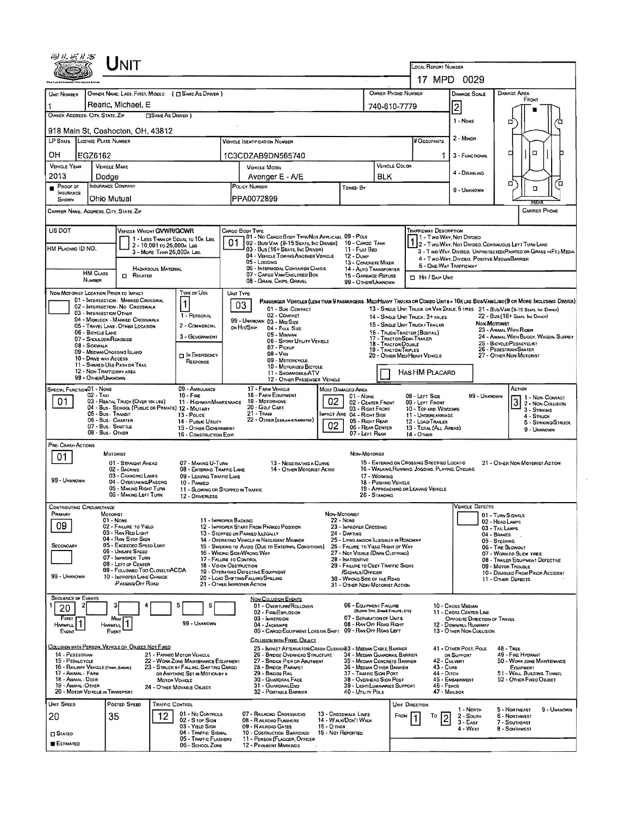| Unit                                                                                                                                                                                                              |                                                                                                                                                                                                                                                                      |                                                                                                |                                                                                                   |                                                                                                                   |                                                                                                                      |  |  |  |  |  |
|-------------------------------------------------------------------------------------------------------------------------------------------------------------------------------------------------------------------|----------------------------------------------------------------------------------------------------------------------------------------------------------------------------------------------------------------------------------------------------------------------|------------------------------------------------------------------------------------------------|---------------------------------------------------------------------------------------------------|-------------------------------------------------------------------------------------------------------------------|----------------------------------------------------------------------------------------------------------------------|--|--|--|--|--|
|                                                                                                                                                                                                                   |                                                                                                                                                                                                                                                                      | LOCAL REPORT NUMBER<br>17 MPD 0029                                                             |                                                                                                   |                                                                                                                   |                                                                                                                      |  |  |  |  |  |
| OWNER NAME: LAST, FIRST, MIDDLE ( C SAME AS DRIVER )                                                                                                                                                              |                                                                                                                                                                                                                                                                      | OWNER PHONE NUMBER                                                                             |                                                                                                   | <b>DAMAGE SCALE</b>                                                                                               | DAMAGE AREA                                                                                                          |  |  |  |  |  |
| UNIT NUMBER<br>  Rearic, Michael, E                                                                                                                                                                               |                                                                                                                                                                                                                                                                      | 740-610-7779                                                                                   |                                                                                                   |                                                                                                                   | FRONT                                                                                                                |  |  |  |  |  |
| OWNER ADDRESS: CITY, STATE, ZIP<br><b>CISAME AS DRIVER</b> )                                                                                                                                                      |                                                                                                                                                                                                                                                                      |                                                                                                |                                                                                                   | 2<br>1 - NONE                                                                                                     | □                                                                                                                    |  |  |  |  |  |
| 918 Main St, Coshocton, OH, 43812                                                                                                                                                                                 |                                                                                                                                                                                                                                                                      |                                                                                                |                                                                                                   | 2 - MINOR                                                                                                         |                                                                                                                      |  |  |  |  |  |
| LP STATE LICENSE PLATE NUMBER                                                                                                                                                                                     | <b>VEHICLE IDENTIFICATION NUMBER</b>                                                                                                                                                                                                                                 |                                                                                                | # OCCUPANTS                                                                                       |                                                                                                                   |                                                                                                                      |  |  |  |  |  |
| OН<br>EGZ6162<br><b>VEHICLE YEAR</b><br><b>VEHICLE MAKE</b>                                                                                                                                                       | 1C3CDZAB9DN565740<br><b>VEHICLE MODEL</b>                                                                                                                                                                                                                            | <b>VEHICLE COLOR</b>                                                                           |                                                                                                   | 3 - FUNCTIONAL                                                                                                    | α<br>а                                                                                                               |  |  |  |  |  |
| 2013<br>Dodge                                                                                                                                                                                                     | Avenger E - A/E                                                                                                                                                                                                                                                      | <b>BLK</b>                                                                                     |                                                                                                   | 4 - Disabling                                                                                                     |                                                                                                                      |  |  |  |  |  |
| INSURANCE COMPANY<br>PROOF OF<br>POLICY NUMBER<br>INSURANCE<br>PPA0072899<br>Ohio Mutual<br>SHOWN                                                                                                                 | Towen By                                                                                                                                                                                                                                                             |                                                                                                |                                                                                                   | 9 - UNKNOWN                                                                                                       | α<br>ם<br>α                                                                                                          |  |  |  |  |  |
| <b>CARRIER PHONE</b><br>CARRIER NAME, ADDRESS, CITY, STATE, ZIP                                                                                                                                                   |                                                                                                                                                                                                                                                                      |                                                                                                |                                                                                                   |                                                                                                                   |                                                                                                                      |  |  |  |  |  |
| US DOT<br>VEHICLE WEIGHT GVWR/GCWR<br>CARGO BODY TYPE                                                                                                                                                             |                                                                                                                                                                                                                                                                      |                                                                                                | Trafficway Description                                                                            |                                                                                                                   |                                                                                                                      |  |  |  |  |  |
| 1 - LESS THAN OR EQUAL TO 10K LBS<br>01<br>2 - 10,001 to 26,000 k Las                                                                                                                                             | 01 - No CARGO BODY TYPE/NOT APPLICABL 09 - POLE<br>02 - Bus/VAN (9-15 SEATS, INC DRIVER) 10 - CARGO TANK                                                                                                                                                             |                                                                                                | 1 - Two Way, Not Divideo                                                                          |                                                                                                                   | 2 - Two-WAY, NOT DIVIDED, CONTINUOUS LEFT TURN LANE                                                                  |  |  |  |  |  |
| HM Placard ID NO,<br>3 - MORE THAN 26,000K LBS.                                                                                                                                                                   | 03 - Bus (16+ Seats, Inc Driver)<br>11 - FLAT BED<br>04 - VEHICLE TOWING ANOTHER VEHICLE<br>12 - Dump<br>05 - LOGGING                                                                                                                                                | 13 - CONCRETE MIXER                                                                            |                                                                                                   | 3 - Two-WAY, Divided, Unprotected (Painted or Grass >4Ft.) Media<br>4 - Two-Way, Divideo, Positive Median Barrier |                                                                                                                      |  |  |  |  |  |
| HAZARDOUS MATERIAL<br><b>HM CLASS</b><br>RELATED<br>0                                                                                                                                                             | 06 - INTERMODAL CONTAINER CHASIS<br>07 - CARGO VAN/ENCLOSED BOX                                                                                                                                                                                                      | 14 - AUTO TRANSPORTER<br>15 - GARBAGE / REFUSE                                                 | 5 - ONE-WAY TRAFFICWAY<br><b>D</b> Hit / Skip Unit                                                |                                                                                                                   |                                                                                                                      |  |  |  |  |  |
| NUMBER                                                                                                                                                                                                            | 08 - GRAIN, CHPS, GRAVEL                                                                                                                                                                                                                                             | 99 - OTHER/UNKNOWN                                                                             |                                                                                                   |                                                                                                                   |                                                                                                                      |  |  |  |  |  |
| NON-MOTORIST LOCATION PRIOR TO IMPACT<br>Type or Use<br>UNIT TYPE<br>01 - INTERSECTION - MARKED CROSSWAL<br>1<br>03                                                                                               | PASSENGER VEHICLES (LESS THAN 9 PASSENGERS MEDIHEAVY TRUCKS OR COMBO UNITS > 10KLBS BUS/VAM/LIMO(9 OR MORE INCLUDING DRIVER)                                                                                                                                         |                                                                                                |                                                                                                   |                                                                                                                   |                                                                                                                      |  |  |  |  |  |
| 02 - INTERSECTION - NO CROSSWALK<br>03 - INTERSECTION OTHER<br>1 - PERSONAL<br>04 - MIDBLOCK - MARKED CROSSWALK                                                                                                   | 01 - Sus COMPACT<br>02 - COMPACT                                                                                                                                                                                                                                     | 14 - SINGLE UNIT TRUCK : 3+ AXLES                                                              |                                                                                                   |                                                                                                                   | 13 - SINGLE UNIT TRUCK OR VAN ZAXLE, 6 TRES 21 - BUS/VAN (9-15 SEATS, INC DIRVER)<br>22 - BUS (16+ Sears, Inc Dever) |  |  |  |  |  |
| 2 - COMMERCIAL<br>05 - TRAVEL LANE - OTHER LOCATION<br>OR HIT/SKIP<br>06 - BICYCLE LANE                                                                                                                           | 99 - UNKNOWN 03 - MID SIZE<br>04 - Full Size                                                                                                                                                                                                                         | 15 - SINGLE UNIT TRUCK / TRAILER                                                               |                                                                                                   | NON-MOTORIST                                                                                                      | 23 - ANIMAL WITH RIDER                                                                                               |  |  |  |  |  |
| 3 - GOVERNMENT<br>07 - SHOULDER/ROADSIDE<br>08 - SIDEWALK                                                                                                                                                         | 05 - Minivan<br>06 - SPORT UTILITY VEHICLE                                                                                                                                                                                                                           | 17 - TRACTOR/SEMI-TRAKER<br>18 - TRACTOR/DOUBLE                                                | 16 - TRUCK/TRACTOR (BOBTAIL)<br>24 - ANIMAL WITH BUGGY, WAGON, SURREY<br>25 - BICYCLE/PEDACYCLIST |                                                                                                                   |                                                                                                                      |  |  |  |  |  |
| 09 - MEDIAN/CROSSING ISLAND<br><b>THE EMERGENCY</b><br>10 - DRIVE WAY ACCESS                                                                                                                                      | 07 - Pickup<br>$08 - V_{AN}$<br>09 - MOTORCYCLE                                                                                                                                                                                                                      | 19 - TRACTOR/TRIPLES                                                                           | 26 - PEDESTRIAN/SKATER<br>27 - OTHER NON-MOTORIST<br>20 - OTHER MED/HEAVY VEHICLE                 |                                                                                                                   |                                                                                                                      |  |  |  |  |  |
| RESPONSE<br>11 - SHARED-USE PATH OR TRAIL<br>12 - NON-TRAFFICWAY AREA                                                                                                                                             | 10 - MOTORIZED BICYCLE<br>Has HM Placard<br>11 - SnowMobile/ATV                                                                                                                                                                                                      |                                                                                                |                                                                                                   |                                                                                                                   |                                                                                                                      |  |  |  |  |  |
| 99 - OTHER/UNKNOWN<br>09 - AMBULANCE                                                                                                                                                                              | 12 - OTHER PASSENGER VEHICLE<br>17 - FARM VEHICLE                                                                                                                                                                                                                    |                                                                                                |                                                                                                   |                                                                                                                   | ACTION                                                                                                               |  |  |  |  |  |
| SPECIAL FUNCTION 01 - NONE<br>$02 - TAX1$<br>$10 -$ Frae<br>01<br>03 - RENTAL TRUCK (OVER 10K LBS)<br>11 - HIGHWAY/MAINTENANCE                                                                                    | MOST DAMAGED AREA<br>18 - FARM EQUIPMENT<br>01 - None<br>02<br>19 - MOTORHOME                                                                                                                                                                                        | 02 - CENTER FRONT                                                                              | 08 - LEFT SIDE<br>09 - LEFT FRONT                                                                 | 99 UNKNOWN<br>1 1 - Non-Contact<br>3 2 - NON-CONTACT                                                              |                                                                                                                      |  |  |  |  |  |
| 04 - Bus - School (Public or Private) 12 - Military<br>05 - Bus - Transit<br>13 - Pouce                                                                                                                           | 20 - GDLF CART<br>$21 -$ Trail<br>MPACT ARE 04 - RIGHT SIDE                                                                                                                                                                                                          | 03 - RIGHT FRONT                                                                               | 10 - TOP AND WINDOWS<br>11 - UNDERCARRIAGE                                                        |                                                                                                                   | 3 - Striking<br>4 - STRUCK                                                                                           |  |  |  |  |  |
| 06 - Bus - Charter<br>14 - PUBLIC UTILITY<br>07 - Bus - SHUTTLE<br>15 - OTHER GOVERNMENT                                                                                                                          | 22 - OTHER (EXPLANIK NARRATIVE)<br>02                                                                                                                                                                                                                                | 05 - Right Rear<br>06 - REAR CENTER                                                            | 12 - LOAD/TRAILER<br>13 - TOTAL (ALL AREAS)                                                       |                                                                                                                   | 5 - STRIKING/STRUCK<br>9 - UNKNOWN                                                                                   |  |  |  |  |  |
| 08 - Bus - Other<br>16 - CONSTRUCTION EQUP.                                                                                                                                                                       | 07 - LEFT REAR                                                                                                                                                                                                                                                       |                                                                                                | 14 - OTHER                                                                                        |                                                                                                                   |                                                                                                                      |  |  |  |  |  |
| PRE- CRASH ACTIONS<br>MOTORIST<br>01                                                                                                                                                                              | NON-MOTORIST                                                                                                                                                                                                                                                         |                                                                                                |                                                                                                   |                                                                                                                   |                                                                                                                      |  |  |  |  |  |
| 01 - STRAIGHT AHFAD<br>07 - MAKING U-TURN<br>08 - ENTERING TRAFFIC LANE<br>02 - BACKING                                                                                                                           | 13 - Negotiating a Curve<br>14 - OTHER MOTORIST ACTIO                                                                                                                                                                                                                | 15 - ENTERING OR CROSSING SPECIFIED LOCATIO<br>16 - WALKING RUNNING, JOGGING, PLAYING, CYCLING |                                                                                                   |                                                                                                                   | 21 - OTHER NON-MOTORIST ACTION                                                                                       |  |  |  |  |  |
| 03 - CHANGING LANES<br>09 - LEAVING TRAFFIC LANE<br>99 - UNKNOWN<br>04 - OVERTAKING/PASSING<br>10 - PARKED                                                                                                        |                                                                                                                                                                                                                                                                      | 17 - Working<br>18 - PUSHING VEHICLE                                                           |                                                                                                   |                                                                                                                   |                                                                                                                      |  |  |  |  |  |
| 05 - MAKING RIGHT TURN<br>11 - SLOWING OR STOPPED IN TRAFFIC<br>06 - MAKING LEFT TURN<br>12 - DRIVERLESS                                                                                                          |                                                                                                                                                                                                                                                                      | 19 - APPROACHING OR LEAVING VEHICLE<br>20 STANDING                                             |                                                                                                   |                                                                                                                   |                                                                                                                      |  |  |  |  |  |
| <b>CONTRIBUTING CIRCUMSTANCE</b><br>PRIMARY<br><b>MOTORIST</b>                                                                                                                                                    | NON-MOTORIST                                                                                                                                                                                                                                                         |                                                                                                |                                                                                                   | <b>VEHICLE DEFECTS</b>                                                                                            | 01 - TURN SIGNALS                                                                                                    |  |  |  |  |  |
| 01 - NONE<br>11 - IMPROPER BACKING<br>09<br>02 - FAILURE TO YIELD<br>12 - IMPROPER START FROM PARKED POSITION                                                                                                     | <b>22 - Nove</b><br>23 - IMPROPER CROSSING                                                                                                                                                                                                                           |                                                                                                | 02 - HEAD LAMPS<br>03 - TAIL LAMPS                                                                |                                                                                                                   |                                                                                                                      |  |  |  |  |  |
| 03 - RAN RED LIGHT<br>13 - STOPPED OR PARKED ILLEGALLY<br>04 - RAN STOP SIGN<br>14 - OPERATING VEHICLE IN NEGLIGENT MANNER                                                                                        | 24 - DARTING                                                                                                                                                                                                                                                         | 25 - LYING AND/OR LLEGALLY IN ROADWAY                                                          | 04 - BRAKES<br>05 - STEERING                                                                      |                                                                                                                   |                                                                                                                      |  |  |  |  |  |
| 05 - Excesoso Speed Limit<br>SECONDARY<br>06 - UNSAFE SPEED<br>16 - WRONG SIDE/WRONG WAY                                                                                                                          | 15 - Swering to Avoid (Due to External Conditions)                                                                                                                                                                                                                   | 26 - FALURE TO YIELD RIGHT OF WAY<br>27 - NOT VISIBLE (DARK CLOTHING)                          | 06 - TIRE BLOWOUT<br>07 - WORN OR SLICK TIRES                                                     |                                                                                                                   |                                                                                                                      |  |  |  |  |  |
| 07 - IMPROPER TURN<br>17 - FALURE TO CONTROL<br>08 - LEFT OF CENTER<br>18 - VISION OBSTRUCTION                                                                                                                    | 28 - INATTENTIVE                                                                                                                                                                                                                                                     | 29 - FAILURE TO OBEY TRAFFIC SIGNS                                                             | 08 - TRAILER EQUIPMENT DEFECTIVE<br>09 - MOTOR TROUBLE                                            |                                                                                                                   |                                                                                                                      |  |  |  |  |  |
| 09 - FOLLOWED TOO CLOSELY/ACDA<br>19 - Operating Defective Equipment<br>99 - UNKNOWN<br>10 - IMPROPER LANE CHANGE<br>20 - LOAD SHIFTING/FALLING/SPILLING<br><b>PASSING OFF ROAD</b><br>21 - OTHER IMPROPER ACTION | /SIGNALS/OFFICER<br>30 - WRONG SIDE OF THE ROAD                                                                                                                                                                                                                      |                                                                                                |                                                                                                   | 10 - Disabled From Prior Accident<br>11 - OTHER DEFECTS                                                           |                                                                                                                      |  |  |  |  |  |
| <b>SEQUENCE OF EVENTS</b>                                                                                                                                                                                         |                                                                                                                                                                                                                                                                      | 31 - OTHER NON-MOTORIST ACTION                                                                 |                                                                                                   |                                                                                                                   |                                                                                                                      |  |  |  |  |  |
| 5<br>6<br>20                                                                                                                                                                                                      | <b>NON-COLLISION EVENTS</b><br>01 - Overturn/Rollover                                                                                                                                                                                                                | 06 - EQUIPMENT FAILURE<br>(BLOWN TIRE, BRANE FAILURE, ETC)                                     |                                                                                                   | 10 - Cross Median                                                                                                 |                                                                                                                      |  |  |  |  |  |
| FIRST<br>Most<br>99 - UNKNOWN<br><b>HARMFUL</b><br><b>HARMFUL</b>                                                                                                                                                 | 02 - FIRE/EXPLOSION<br>11 - CROSS CENTER LINE<br>07 - SEPARATION OF UNITS<br>03 - IMMERSION<br>OPPOSITE DIRECTION OF TRAVEL<br>08 - RAN OFF ROAD RIGHT<br>04 - JACKKNIFE<br>12 - DOWNHILL RUNAWAY                                                                    |                                                                                                |                                                                                                   |                                                                                                                   |                                                                                                                      |  |  |  |  |  |
| EVENT<br>Event                                                                                                                                                                                                    | 05 - CARGO/EQUIPMENT LOSS OR SHIFT 09 - RAN OFF ROAD LEFT                                                                                                                                                                                                            |                                                                                                |                                                                                                   | 13 - OTHER NON-COLLISION                                                                                          |                                                                                                                      |  |  |  |  |  |
| COLLISION WITH FIXED, OBJECT<br><u>COLLISION WITH PERSON, VEHICLE OR OBJECT NOT FIXED</u><br>25 - IMPACT ATTENUATOR/CRASH CUSHION33 - MEDIAN CABLE BARRIER<br>41 - OTHER POST, POLE<br>$48 - 1$ REE               |                                                                                                                                                                                                                                                                      |                                                                                                |                                                                                                   |                                                                                                                   |                                                                                                                      |  |  |  |  |  |
| 14 - PEDESTRIAN<br>21 - PARKEO MOTOR VEHICLE<br>15 - PEDALCYCLE<br>22 - WORK ZONE MAINTENANCE EQUIPMENT<br>16 - RAILWAY VEHICLE (TRAN, ENGHE)<br>23 - STRUCK BY FALLING, SHIFTING CARGO                           | 26 - BRIDGE OVERHEAD STRUCTURE<br>27 - BRIDGE PIER OR ABUTMENT                                                                                                                                                                                                       | 34 - MEDIAN GUARDRAIL BARRIER<br>35 - MEDIAN CONCRETE BARRIER                                  | 42 - CULVERT                                                                                      | OR SUPPORT                                                                                                        | 49 - FIRE HYDRANT<br>50 - WORK ZONE MAINTENANCE                                                                      |  |  |  |  |  |
| 17 - ANIMAL - FARM<br>OR ANYTHING SET IN MOTION BY A<br>18 - ANIMAL - DEER<br><b>MOTOR VEHICLE</b>                                                                                                                | 28 - BROGE PARAPET<br>36 - Median Other Barrier<br>43 - Cuns<br>EQUIPMENT<br>29 - BRIDGE RAIL<br>37 - TRAFFIC SIGN POST<br>44 - Ditch<br>51 - WALL, BUILDING, TUNNEL<br>30 - GUARDRAIL FACE<br>38 - Overhead Sign Post<br>45 - EMBANKMENT<br>52 - OTHER FIXED OBJECT |                                                                                                |                                                                                                   |                                                                                                                   |                                                                                                                      |  |  |  |  |  |
| 19 - ANIMAL -OTHER<br>24 - OTHER MOVABLE OBJECT<br>20 - MOTOR VEHICLE IN TRANSPORT                                                                                                                                | 31 - GUARDRAILEND<br>32 - PORTABLE BARRIER<br>40 - Utaity Pole                                                                                                                                                                                                       | 39 - LIGHT/LUMINARIES SUPPORT                                                                  | $46 -$ Fence<br>47 - MAILBOX                                                                      |                                                                                                                   |                                                                                                                      |  |  |  |  |  |
| UNIT SPEED<br>Posted SPEED<br>TRAFFIC CONTROL                                                                                                                                                                     |                                                                                                                                                                                                                                                                      | UNIT DIRECTION                                                                                 |                                                                                                   | 1 - NORTH                                                                                                         | 5 - Northeast<br>9 - Unknown                                                                                         |  |  |  |  |  |
| 01 - No CONTROLS<br>12<br>20<br>35<br>02 - S TOP SIGN                                                                                                                                                             | 07 - RAILROAD CROSSBUCKS<br>13 - CROSSWALK LINES<br>14 - WALK/DON'T WALK<br>08 - RALROAD FLASHERS                                                                                                                                                                    | FROM                                                                                           | То                                                                                                | 2 - SOUTH<br>$3 - EAST$                                                                                           | <b>6 - NORTHWEST</b><br>7 - SOUTHEAST                                                                                |  |  |  |  |  |
| 03 - YIELD SIGN<br>04 - TRAFFIC SIGNAL<br><b>STATEO</b>                                                                                                                                                           | 15 - О тнен<br>09 - RAILROAD GATES<br>10 - COSTRUCTION BARRICADE<br>16 - Not Reported                                                                                                                                                                                |                                                                                                |                                                                                                   | 4 - West                                                                                                          | 8 - SOUTHWEST                                                                                                        |  |  |  |  |  |
| 05 - TRAFFIC FLASHERS<br>ESTIMATED<br>06 - School Zone                                                                                                                                                            | 11 - PERSON (FLAGGER, OFFICER<br>12 - PAVEMENT MARKINGS                                                                                                                                                                                                              |                                                                                                |                                                                                                   |                                                                                                                   |                                                                                                                      |  |  |  |  |  |

 $\hat{\mathbf{z}}$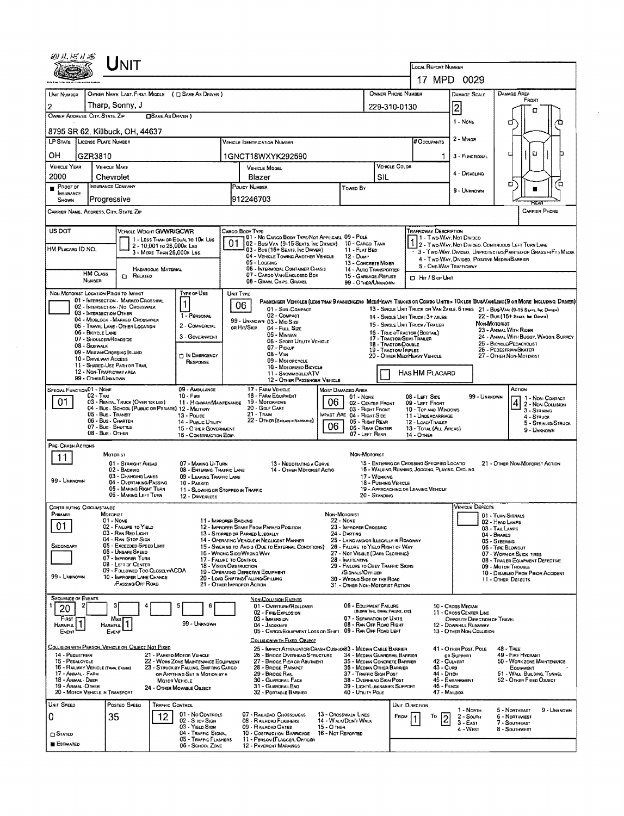| UNIT                                                                                                                                                                                                                                                                                                                          |                                                                                                                       |                                                                                                   |                                                                                                                              |  |  |  |  |  |  |  |  |
|-------------------------------------------------------------------------------------------------------------------------------------------------------------------------------------------------------------------------------------------------------------------------------------------------------------------------------|-----------------------------------------------------------------------------------------------------------------------|---------------------------------------------------------------------------------------------------|------------------------------------------------------------------------------------------------------------------------------|--|--|--|--|--|--|--|--|
|                                                                                                                                                                                                                                                                                                                               | LOCAL REPORT NUMBER                                                                                                   | 17 MPD 0029                                                                                       |                                                                                                                              |  |  |  |  |  |  |  |  |
| OWNER NAME: LAST, FIRST, MIDDLE ( C SAME AS DRIVER )<br>UNIT NUMBER                                                                                                                                                                                                                                                           | OWNER PHONE NUMBER                                                                                                    | <b>DAMAGE AREA</b><br><b>DAMAGE SCALE</b>                                                         |                                                                                                                              |  |  |  |  |  |  |  |  |
| Tharp, Sonny, J<br>$\boldsymbol{2}$                                                                                                                                                                                                                                                                                           |                                                                                                                       | 229-310-0130                                                                                      | FRONT<br>$\overline{c}$                                                                                                      |  |  |  |  |  |  |  |  |
| OWNER ADDRESS: CITY, STATE, ZIP<br>□SAME AS DRIVER )                                                                                                                                                                                                                                                                          |                                                                                                                       |                                                                                                   | п<br>1 - NONE<br>о                                                                                                           |  |  |  |  |  |  |  |  |
| 8795 SR 62, Killbuck, OH, 44637<br>LP STATE LICENSE PLATE NUMBER                                                                                                                                                                                                                                                              |                                                                                                                       |                                                                                                   | 2 - MINOR                                                                                                                    |  |  |  |  |  |  |  |  |
|                                                                                                                                                                                                                                                                                                                               | <b>VEHICLE IDENTIFICATION NUMBER</b>                                                                                  | # Occurants                                                                                       | ם<br>□                                                                                                                       |  |  |  |  |  |  |  |  |
| OН<br>GZR3810<br><b>VEHICLE YEAR</b><br><b>VEHICLE MAKE</b>                                                                                                                                                                                                                                                                   | 1GNCT18WXYK292590<br>VEHICLE MODEL                                                                                    | <b>VEHICLE COLOR</b>                                                                              | 3 - FUNCTIONAL                                                                                                               |  |  |  |  |  |  |  |  |
| 2000<br>Chevrolet                                                                                                                                                                                                                                                                                                             | Blazer                                                                                                                | SIL                                                                                               | 4 - DISABLING                                                                                                                |  |  |  |  |  |  |  |  |
| INSURANCE COMPANY<br>Proof of<br><b>INSURANCE</b><br>Progressive<br>SHOWN                                                                                                                                                                                                                                                     | POLICY NUMBER<br>Towen By<br>912246703                                                                                |                                                                                                   | в<br>้ต<br>9 - UNKNOWN                                                                                                       |  |  |  |  |  |  |  |  |
| <b>CARRIER PHONE</b><br>CARRIER NAME, ADDRESS, CITY, STATE, ZIP                                                                                                                                                                                                                                                               |                                                                                                                       |                                                                                                   |                                                                                                                              |  |  |  |  |  |  |  |  |
| US DOT<br>VEHICLE WEIGHT GVWR/GCWR                                                                                                                                                                                                                                                                                            | CARGO BODY TYPE<br>01 - No CARGO BOOY TYPE/NOT APPLICABL 09 - POLE                                                    | <b>TRAFFICWAY DESCRIPTION</b><br>1 - Two Way, Not Divideo                                         |                                                                                                                              |  |  |  |  |  |  |  |  |
| 1 - LESS THAN OR EQUAL TO 10K LBS<br>2 - 10,001 to 25,000k Lss<br>HM PLACARD ID NO.                                                                                                                                                                                                                                           | 01<br>02 - Bus/Van (9-15 Seats, Inc Driver)<br>03 - Bus (16+ Seats, Ing Driver)                                       | 10 - CARGO TANK<br>11 - FLAT BED                                                                  | 1 2 - Two-Way, Not Divideo, Continuous Left Turn Lane                                                                        |  |  |  |  |  |  |  |  |
| 3 - MORE THAN 26,000K LBS.                                                                                                                                                                                                                                                                                                    | 04 - VEHICLE TOWING ANOTHER VEHICLE<br><b>12 - DUMP</b><br>05 - Logging                                               | 13 - CONCRETE MIXER                                                                               | - 3 - Two WAY, DIVIDEO, UNPROTECTEO(PAINTEO OR GRASS >4FT.) MEDIA<br>4 - Two Way, Divided, Positive Median Barrier           |  |  |  |  |  |  |  |  |
| HAZAROOUS MATERIAL<br><b>HM CLASS</b><br>RELATED<br>o                                                                                                                                                                                                                                                                         | 05 - INTERMODAL CONTAINER CHASIS<br>07 - CARGO VAN ENCLOSED BOX                                                       | 5 - ONE-WAY TRAFFICWAY<br>14 - AUTO TRANSPORTER<br>15 - GARBAGE/REFUSE<br><b>D</b> Hn / Skip Unit |                                                                                                                              |  |  |  |  |  |  |  |  |
| <b>NUMBER</b>                                                                                                                                                                                                                                                                                                                 | 08 - Gran, Chips, Gravel                                                                                              | 99 - OTHER/UNKNOWN                                                                                |                                                                                                                              |  |  |  |  |  |  |  |  |
| TYPE OF USE<br>NON-MOTORIST LOCATION PRIOR TO IMPACT<br>01 - INTERSECTION - MARKEO CROSSWAL<br>1                                                                                                                                                                                                                              | UNIT TYPE<br>06                                                                                                       |                                                                                                   | PASSENGER VEHICLES (LESS THAN 9 PASSENGERS MEDIMEANY TRUCKS OR COMBO UNITS > 10KLBS BUS/VAN/LIMO(9 OR MORE INCLUDING DRIVER) |  |  |  |  |  |  |  |  |
| 02 - INTERSECTION - NO CROSSWALK<br>03 - INTERSECTION OTHER<br>1 - PERSONAL<br>04 - MIDBLOCK - MARKED CROSSWALK                                                                                                                                                                                                               | 01 - Sub-COMPACT<br>02 - COMPACT                                                                                      | 14 - SINGLE LINIT TRUCK: 3+ AXLES                                                                 | 13 - SINGLE UNIT TRUCK OR VAN ZAXLE, 6 TIRES 21 - BUS/VAN (9-15 SEATS, INC. DRIVER)<br>22 - Bus (16+ Seats, Inc. Driver)     |  |  |  |  |  |  |  |  |
| 2 - COMMERCIAL<br>05 - TRAVEL LANE - OTHER LOCATION<br>06 - BICYCLE LANE                                                                                                                                                                                                                                                      | 99 - UNKNOWN 03 - MIO SIZE<br>OR HIT/SKIP<br>04 - Full Size                                                           | 15 - SINGLE LINIT TRUCK / TRAILER<br>16 - TRUCK/TRACTOR (BOSTAIL)                                 | Non-Motorist<br>23 - ANIMAL WITH RIDER                                                                                       |  |  |  |  |  |  |  |  |
| 3 - GOVERNMENT<br>07 - SHOULDER/ROADSIDE<br>08 - Sidewalk                                                                                                                                                                                                                                                                     | 05 - MINIVAN<br>06 - Sport Utility Vehicle                                                                            | 17 - TRACTOR/SEMI-TRAILER<br>18 - TRACTOR/DOUBLE                                                  | 24 - ANIMAL WITH BUGGY, WAGON, SURREY<br>25 - BICYCLEPEDACYCLIST                                                             |  |  |  |  |  |  |  |  |
| 09 - MEDWACROSSING SLANO<br><b>D IN EMERGENCY</b><br>10 - DRIVE WAY ACCESS                                                                                                                                                                                                                                                    | 07 - Pickup<br>$08 - V_{AN}$                                                                                          | 19 - TRACTOR/TRIPLES<br>20 - OTHER MEDIHEAVY VEHICLE                                              | 26 - PEDESTRIAN/SKATER<br>27 - OTHER NON-MOTORIST                                                                            |  |  |  |  |  |  |  |  |
| RESPONSE<br>11 - SHARED-USE PATH OR TRAIL<br>12 - NON-TRAFFICWAY AREA                                                                                                                                                                                                                                                         | 09 - MOTORCYCLE<br>10 - MOTORIZEO BICYCLE                                                                             |                                                                                                   |                                                                                                                              |  |  |  |  |  |  |  |  |
| 99 - OTHER/UNKNOWN                                                                                                                                                                                                                                                                                                            | 11 - SNOWMOBILE/ATV<br>12 - OTHER PASSENGER VEHICLE                                                                   | HAS HM PLACARD                                                                                    |                                                                                                                              |  |  |  |  |  |  |  |  |
| SPECIAL FUNCTION01 - NONE<br>09 - AMBULANCE<br>$02 - T_{\text{AM}}$<br>$10 -$ Fine                                                                                                                                                                                                                                            | 17 - FARM VEHICLE<br>Most Danaged Area<br>18 - FARM EQUIPMENT                                                         | 01 - None<br>08 - LEFT SIDE                                                                       | ACTION<br>99 - Unknown<br>1 - Non-Contact                                                                                    |  |  |  |  |  |  |  |  |
| 01<br>03 - RENTAL TRUCK (OVER 10K LBS)<br>11 - HIGHWAY/MAINTENANCE<br>04 - Bus - SCHOOL (PUBLIC OR PRIVATE) 12 - MILITARY                                                                                                                                                                                                     | 06<br>19 - Мотояноме<br>20 - Golf CART                                                                                | 02 - CENTER FRONT<br>09 LEFT FRONT<br>03 - RIGHT FRONT<br>10 - Top and Windows                    | $\frac{4}{3}$ 2 - Non-Collision<br>3 - STRIKING                                                                              |  |  |  |  |  |  |  |  |
| 05 - Bus - Transit<br>13 - Pouce<br>06 - Bus - Charter<br>14 - PUBLIC UTILITY                                                                                                                                                                                                                                                 | $21 -$ Train<br>IMPACT ARE 04 - RIGHT SIDE<br>22 - OTHER (EXPLAN IN NARRATIVE)                                        | 11 - UNDERCARRIAGE<br>05 - Right Rear<br>12 - LOAD/TRAILER                                        | 4 - STRUCK<br>5 - STRIKING/STRUCK                                                                                            |  |  |  |  |  |  |  |  |
| 07 - Bus - Shuttle<br>15 - OTHER GOVERNMENT<br>08 - Bus - OTHER<br>15 - CONSTRUCTION EOIP.                                                                                                                                                                                                                                    | 06                                                                                                                    | 06 - REAR CENTER<br>13 - TOTAL (ALL AREAS)<br>07 - LEFT REAR<br>14 - OTHER                        | 9 - Unknown                                                                                                                  |  |  |  |  |  |  |  |  |
| PRE-CRASH ACTIONS                                                                                                                                                                                                                                                                                                             |                                                                                                                       |                                                                                                   |                                                                                                                              |  |  |  |  |  |  |  |  |
| MOTORIST<br>11<br>01 - STRAIGHT AHEAD<br>07 - MAKING U-TURN                                                                                                                                                                                                                                                                   | 13 - Negotiating a Curve                                                                                              | NON-MOTORIST<br>15 - ENTERING OR CROSSING SPECIFIED LOCATIO                                       | 21 - OTHER NON-MOTORIST ACTION                                                                                               |  |  |  |  |  |  |  |  |
| 02 - BACKING<br>08 - ENTERING TRAFFIC LANE<br>03 - CHANGING LANES<br>09 - LEAVING TRAFFIC LANE<br>99 - UNKNOWN                                                                                                                                                                                                                | 14 - OTHER MOTORIST ACTIO                                                                                             | 16 - WALKING, RUNNING, JOGGING, PLAYING, CYCLING<br>17 - WORKING                                  |                                                                                                                              |  |  |  |  |  |  |  |  |
| 04 - OVERTAKING/PASSING<br>10 - PARKED<br>05 - MAKING RIGHT TURN                                                                                                                                                                                                                                                              | 11 - Slowing or Stopped in Traffic                                                                                    | 18 - PUSHING VEHICLE<br>19 - APPROACHING OR LEAVING VEHICLE                                       |                                                                                                                              |  |  |  |  |  |  |  |  |
| 06 - MAKING LEFT TURN<br>12 - DRIVERLESS<br><b>CONTRIBUTING CIRCUMSTANCE</b>                                                                                                                                                                                                                                                  |                                                                                                                       | 20 - STANDING                                                                                     | <b>VEHICLE DEFECTS</b>                                                                                                       |  |  |  |  |  |  |  |  |
| PRIMARY<br>MOTORIST<br>01 - NONE                                                                                                                                                                                                                                                                                              | NON-MOTORIST<br>11 - IMPROPER BACKING<br>22 - NONE                                                                    |                                                                                                   | 01 - TURN SIGNALS<br>02 - HEAD LAMPS                                                                                         |  |  |  |  |  |  |  |  |
| 01<br>02 - FAILURE TO YIELD<br>03 - RAN RED LIGHT                                                                                                                                                                                                                                                                             | 12 - IMPROPER START FROM PARKED POSITION<br>23 - IMPROPER CROSSING<br>24 - DARTING<br>13 - Stopped or Parked Llegally |                                                                                                   | 03 - Tail LAMPS<br>04 - BRAKES                                                                                               |  |  |  |  |  |  |  |  |
| 04 - RAN STOP SIGN<br>05 - Excesoso Speso Limit<br>SECONDARY                                                                                                                                                                                                                                                                  | 14 - OPERATING VEHICLE IN NEGLIGENT MANNER<br>15 - SWERING TO AVOID (DUE TO EXTERNAL CONDITIONS)                      | 25 - LYING AND/OR ILLEGALLY IN ROADWAY<br>26 - FALURE TO YIELO RIGHT OF WAY                       | 05 - STEERING<br>06 - TIRE BLOWOUT                                                                                           |  |  |  |  |  |  |  |  |
| 06 - UNSAFE SPEED<br>07 - IMPROPER TURN                                                                                                                                                                                                                                                                                       | 16 - WRONG SIOE/WRONG WAY<br>17 - FALURE TO CONTROL<br>28 - INATTENTIVE                                               | 27 - NOT VISIBLE (DARK CLOTHING)                                                                  | 07 - WORN OR SLICK TIRES<br>08 - TRAILER EQUIPMENT DEFECTIVE                                                                 |  |  |  |  |  |  |  |  |
| 08 - LEFT OF CENTER<br>09 - Followed Too Closely/ACDA                                                                                                                                                                                                                                                                         | 18 - VISION OBSTRUCTION<br>19 - OPERATING DEFECTIVE EQUIPMENT                                                         | 29 - FAILURE TO OBEY TRAFFIC SIGNS<br>/SIGNALS/OFFICER                                            | 09 - MOTOR TROUBLE<br>10 - DISABLEO FROM PRIOR ACCIDENT                                                                      |  |  |  |  |  |  |  |  |
| 99 - Unknown<br>10 - IMPROPER LANE CHANGE<br><b>PASSING/OFF ROAD</b>                                                                                                                                                                                                                                                          | 20 - LOAD SHIFTING/FALLING/SPILLING<br>21 - OTHER IMPROPER ACTION                                                     | 30 - WRONG SIDE OF THE ROAD<br>31 - OTHER NON-MOTORIST ACTION                                     | 11 - OTHER DEFECTS                                                                                                           |  |  |  |  |  |  |  |  |
| <b>SEQUENCE OF EVENTS</b>                                                                                                                                                                                                                                                                                                     | <b>NON-COLLISION EVENTS</b>                                                                                           |                                                                                                   |                                                                                                                              |  |  |  |  |  |  |  |  |
| 2<br>5<br>6<br>20                                                                                                                                                                                                                                                                                                             | 01 - OVERTURN/ROLLOVER<br>02 - FIRE/EXPLOSION                                                                         | 06 - EQUIPMENT FAILURE<br>(BLOWN TURE, BRAKE FAILURE, ETC).                                       | 10 - Cross Median<br>11 - CROSS CENTER LINE                                                                                  |  |  |  |  |  |  |  |  |
| 07 - SEPARATION OF UNITS<br>FIRST<br>03 - IMMERSION<br>OPPOSITE DIRECTION OF TRAVEL<br>Most<br>99 - Unkndwn<br>08 - RAN OFF ROAD RIGHT<br>04 - JACKKNIFE<br>12 - DOWNHILL RUNAWAY<br>Harmful<br>Harmful                                                                                                                       |                                                                                                                       |                                                                                                   |                                                                                                                              |  |  |  |  |  |  |  |  |
| EVENT<br>Event                                                                                                                                                                                                                                                                                                                | 05 - CARGO/EQUIPMENT LOSS OR SHIFT<br>COLLISION WITH FIXED, OBJECT                                                    | 09 - RAN OFF ROAD LEFT                                                                            | 13 - OTHER NON-COLLISION                                                                                                     |  |  |  |  |  |  |  |  |
| COLLISION WITH PERSON, VEHICLE OR OBJECT NOT FIXED<br>25 - IMPACT ATTENUATOR/CRASH CUSHION33 - MEDIAN CABLE BARRIER<br>41 - OTHER POST, POLE<br><b>48 - TREE</b><br>14 - PEDESTRIAN<br>21 - PARKED MOTOR VEHICLE<br>26 - BRIDGE OVERHEAD STRUCTURE<br>49 - FIRE HYDRANT<br>34 - Median Guardrail Barrier<br><b>DR SUPPORT</b> |                                                                                                                       |                                                                                                   |                                                                                                                              |  |  |  |  |  |  |  |  |
| 15 - PEDALCYCLE<br>22 - WORK ZONE MAINTENANCE EDUIPMENT<br>15 - RAILWAY VEHICLE (TRAIN, ENGINE)<br>23 - STRUCK BY FALLING, SHIFTING CARGO                                                                                                                                                                                     | 27 - BRIDGE PIER OR ABUTMENT<br>28 - BRIDGE PARAPET                                                                   | 35 - MEDIAN CONCRETE BARRIER<br>42 - CULVERT<br>36 - MEDIAN OTHER BARRIER<br>43 - Cuns            | 50 - WORK ZONE MAINTENANCE<br>EQUIPMENT                                                                                      |  |  |  |  |  |  |  |  |
| 17 - ANIMAL - FARM<br>OR ANYTHING SET IN MOTION BY A<br>18 - ANMAL DEER<br><b>MOTOR VEHICLE</b>                                                                                                                                                                                                                               | 29 - Bridge Rail<br>30 - GUARDRAIL FACE                                                                               | 44 - Dirch<br>37 - TRAFFIC SIGN POST<br>38 - Overhead Sign Post                                   | 51 - WALL, BUILDING, TUNNEL<br>45 - EMBANKMENT<br>52 - OTHER FIXED OSJECT                                                    |  |  |  |  |  |  |  |  |
| 19 - ANNAL OTHER<br>24 - OTHER MOVABLE OBJECT<br>20 - MOTOR VEHICLE IN TRANSPORT                                                                                                                                                                                                                                              | 31 - GUARDRAILEND<br>32 - PORTABLE BARRIER                                                                            | 46 - FENCE<br>39 LIGHT/LUMINARIES SUPPORT<br>47 - MAILBOX<br>40 - UTILITY POLE                    |                                                                                                                              |  |  |  |  |  |  |  |  |
| UNIT SPEED<br>POSTED SPEED<br><b>TRAFFIC CONTROL</b>                                                                                                                                                                                                                                                                          |                                                                                                                       | UNIT DIRECTION                                                                                    | 9 - Unknown<br>1 - North<br>5 - Northeast                                                                                    |  |  |  |  |  |  |  |  |
| 01 - No CONTROLS<br>35<br>12<br>0<br>02 - S TOP SIGN                                                                                                                                                                                                                                                                          | 07 - RAILRDAD CROSSBUCKS<br>13 - Crosswalk Lines<br>14 - WALK/DON'T WALK<br>08 - RAILROAD FLASHERS                    | FROM<br>To                                                                                        | 2 - South<br>6 - NORTHWEST<br>$3 - EAST$<br>7 - SOUTHEAST                                                                    |  |  |  |  |  |  |  |  |
| 03 - YIELD SIGN<br>04 - TRAFFIC SIGNAL<br><b>CI STATED</b>                                                                                                                                                                                                                                                                    | 15 - O THER<br>09 - RAILRDAD GATES<br>10 - COSTRUCTION BARRICADE<br>16 - Not Reported                                 |                                                                                                   | 4 - West<br>8 - Southwest                                                                                                    |  |  |  |  |  |  |  |  |
| 05 - TRAFFIC FLASHERS<br><b>ESTIMATED</b><br>06 - SCHOOL ZONE                                                                                                                                                                                                                                                                 | 11 - PERSON (FLAGGER, OFFICER<br>12 - PAVEMENT MARKINGS                                                               |                                                                                                   |                                                                                                                              |  |  |  |  |  |  |  |  |